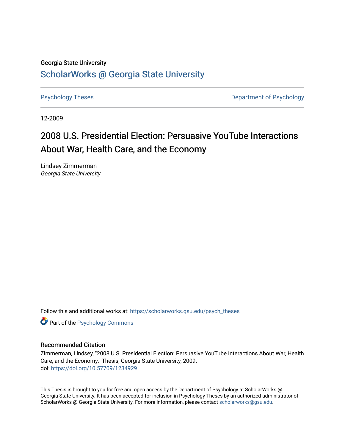# Georgia State University [ScholarWorks @ Georgia State University](https://scholarworks.gsu.edu/)

[Psychology Theses](https://scholarworks.gsu.edu/psych_theses) **Department of Psychology** 

12-2009

# 2008 U.S. Presidential Election: Persuasive YouTube Interactions About War, Health Care, and the Economy

Lindsey Zimmerman Georgia State University

Follow this and additional works at: [https://scholarworks.gsu.edu/psych\\_theses](https://scholarworks.gsu.edu/psych_theses?utm_source=scholarworks.gsu.edu%2Fpsych_theses%2F64&utm_medium=PDF&utm_campaign=PDFCoverPages) 

**Part of the Psychology Commons** 

#### Recommended Citation

Zimmerman, Lindsey, "2008 U.S. Presidential Election: Persuasive YouTube Interactions About War, Health Care, and the Economy." Thesis, Georgia State University, 2009. doi: <https://doi.org/10.57709/1234929>

This Thesis is brought to you for free and open access by the Department of Psychology at ScholarWorks @ Georgia State University. It has been accepted for inclusion in Psychology Theses by an authorized administrator of ScholarWorks @ Georgia State University. For more information, please contact [scholarworks@gsu.edu](mailto:scholarworks@gsu.edu).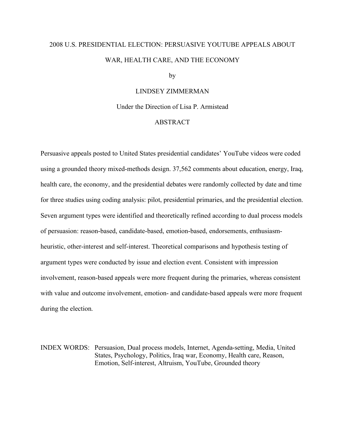# 2008 U.S. PRESIDENTIAL ELECTION: PERSUASIVE YOUTUBE APPEALS ABOUT WAR, HEALTH CARE, AND THE ECONOMY

by

#### LINDSEY ZIMMERMAN

Under the Direction of Lisa P. Armistead

#### ABSTRACT

Persuasive appeals posted to United States presidential candidates' YouTube videos were coded using a grounded theory mixed-methods design. 37,562 comments about education, energy, Iraq, health care, the economy, and the presidential debates were randomly collected by date and time for three studies using coding analysis: pilot, presidential primaries, and the presidential election. Seven argument types were identified and theoretically refined according to dual process models of persuasion: reason-based, candidate-based, emotion-based, endorsements, enthusiasmheuristic, other-interest and self-interest. Theoretical comparisons and hypothesis testing of argument types were conducted by issue and election event. Consistent with impression involvement, reason-based appeals were more frequent during the primaries, whereas consistent with value and outcome involvement, emotion- and candidate-based appeals were more frequent during the election.

INDEX WORDS: Persuasion, Dual process models, Internet, Agenda-setting, Media, United States, Psychology, Politics, Iraq war, Economy, Health care, Reason, Emotion, Self-interest, Altruism, YouTube, Grounded theory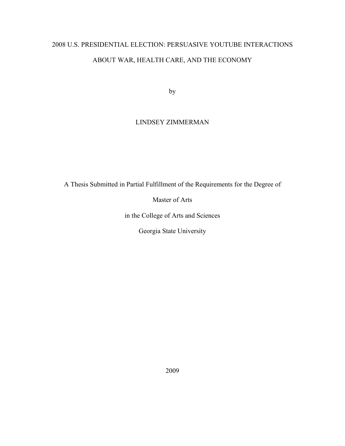# 2008 U.S. PRESIDENTIAL ELECTION: PERSUASIVE YOUTUBE INTERACTIONS ABOUT WAR, HEALTH CARE, AND THE ECONOMY

by

# LINDSEY ZIMMERMAN

A Thesis Submitted in Partial Fulfillment of the Requirements for the Degree of

Master of Arts

in the College of Arts and Sciences

Georgia State University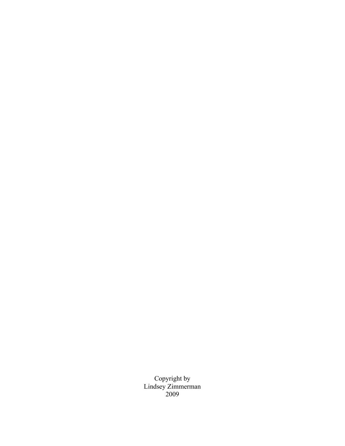Copyright by Lindsey Zimmerman 2009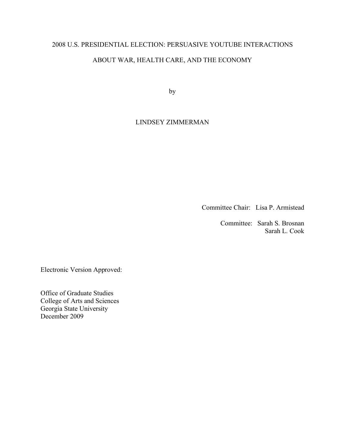# 2008 U.S. PRESIDENTIAL ELECTION: PERSUASIVE YOUTUBE INTERACTIONS ABOUT WAR, HEALTH CARE, AND THE ECONOMY

by

# LINDSEY ZIMMERMAN

Committee Chair: Lisa P. Armistead

 Committee: Sarah S. Brosnan Sarah L. Cook

Electronic Version Approved:

Office of Graduate Studies College of Arts and Sciences Georgia State University December 2009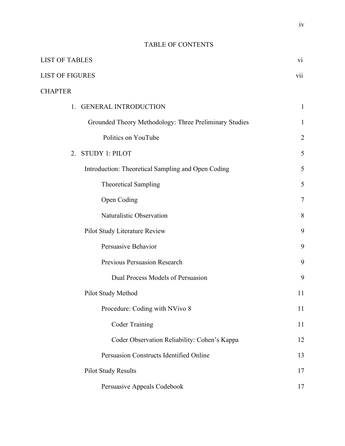# TABLE OF CONTENTS

| <b>LIST OF TABLES</b>                                  | $\overline{vi}$ |
|--------------------------------------------------------|-----------------|
| <b>LIST OF FIGURES</b>                                 | vii             |
| <b>CHAPTER</b>                                         |                 |
| <b>GENERAL INTRODUCTION</b><br>1.                      | $\mathbf{1}$    |
| Grounded Theory Methodology: Three Preliminary Studies | $\mathbf{1}$    |
| Politics on YouTube                                    | $\overline{2}$  |
| <b>STUDY 1: PILOT</b><br>2.                            | 5               |
| Introduction: Theoretical Sampling and Open Coding     | 5               |
| <b>Theoretical Sampling</b>                            | 5               |
| Open Coding                                            | $\tau$          |
| Naturalistic Observation                               | 8               |
| Pilot Study Literature Review                          | 9               |
| Persuasive Behavior                                    | 9               |
| Previous Persuasion Research                           | 9               |
| Dual Process Models of Persuasion                      | 9               |
| Pilot Study Method                                     | 11              |
| Procedure: Coding with NVivo 8                         | 11              |
| <b>Coder Training</b>                                  | 11              |
| Coder Observation Reliability: Cohen's Kappa           | 12              |
| Persuasion Constructs Identified Online                | 13              |
| <b>Pilot Study Results</b>                             | 17              |
| Persuasive Appeals Codebook                            | 17              |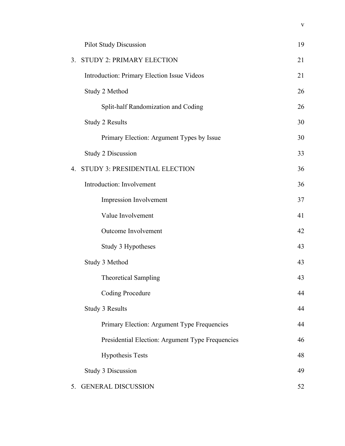|                | <b>Pilot Study Discussion</b>                    | 19 |
|----------------|--------------------------------------------------|----|
| 3 <sub>1</sub> | <b>STUDY 2: PRIMARY ELECTION</b>                 | 21 |
|                | Introduction: Primary Election Issue Videos      | 21 |
|                | Study 2 Method                                   | 26 |
|                | Split-half Randomization and Coding              | 26 |
|                | <b>Study 2 Results</b>                           | 30 |
|                | Primary Election: Argument Types by Issue        | 30 |
|                | <b>Study 2 Discussion</b>                        | 33 |
| 4.             | STUDY 3: PRESIDENTIAL ELECTION                   | 36 |
|                | Introduction: Involvement                        | 36 |
|                | Impression Involvement                           | 37 |
|                | Value Involvement                                | 41 |
|                | Outcome Involvement                              | 42 |
|                | Study 3 Hypotheses                               | 43 |
|                | Study 3 Method                                   | 43 |
|                | <b>Theoretical Sampling</b>                      | 43 |
|                | <b>Coding Procedure</b>                          | 44 |
|                | Study 3 Results                                  | 44 |
|                | Primary Election: Argument Type Frequencies      | 44 |
|                | Presidential Election: Argument Type Frequencies | 46 |
|                | <b>Hypothesis Tests</b>                          | 48 |
|                | <b>Study 3 Discussion</b>                        | 49 |
| 5.             | <b>GENERAL DISCUSSION</b>                        | 52 |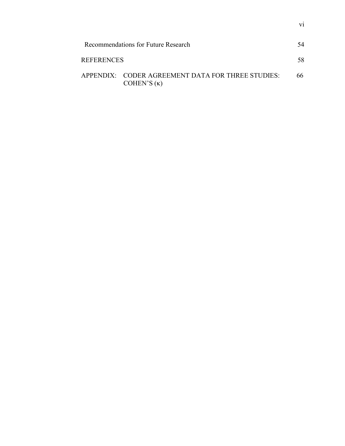|                   | Recommendations for Future Research                                     | 54 |
|-------------------|-------------------------------------------------------------------------|----|
| <b>REFERENCES</b> |                                                                         | 58 |
|                   | APPENDIX: CODER AGREEMENT DATA FOR THREE STUDIES:<br>COHEN'S $(\kappa)$ | 66 |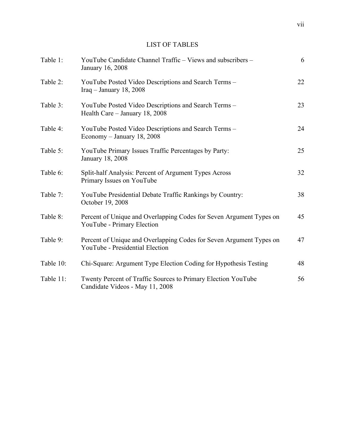# LIST OF TABLES

| Table 1:  | YouTube Candidate Channel Traffic – Views and subscribers –<br>January 16, 2008                        | 6  |
|-----------|--------------------------------------------------------------------------------------------------------|----|
| Table 2:  | YouTube Posted Video Descriptions and Search Terms -<br>Iraq - January 18, 2008                        | 22 |
| Table 3:  | YouTube Posted Video Descriptions and Search Terms -<br>Health Care - January 18, 2008                 | 23 |
| Table 4:  | YouTube Posted Video Descriptions and Search Terms -<br>Economy - January 18, 2008                     | 24 |
| Table 5:  | YouTube Primary Issues Traffic Percentages by Party:<br>January 18, 2008                               | 25 |
| Table 6:  | Split-half Analysis: Percent of Argument Types Across<br>Primary Issues on YouTube                     | 32 |
| Table 7:  | YouTube Presidential Debate Traffic Rankings by Country:<br>October 19, 2008                           | 38 |
| Table 8:  | Percent of Unique and Overlapping Codes for Seven Argument Types on<br>YouTube - Primary Election      | 45 |
| Table 9:  | Percent of Unique and Overlapping Codes for Seven Argument Types on<br>YouTube - Presidential Election | 47 |
| Table 10: | Chi-Square: Argument Type Election Coding for Hypothesis Testing                                       | 48 |
| Table 11: | Twenty Percent of Traffic Sources to Primary Election YouTube<br>Candidate Videos - May 11, 2008       | 56 |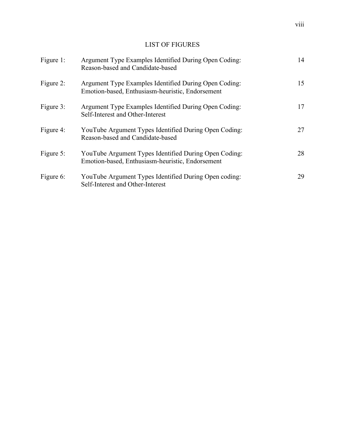# LIST OF FIGURES

| Figure 1: | Argument Type Examples Identified During Open Coding:<br>Reason-based and Candidate-based                 | 14 |
|-----------|-----------------------------------------------------------------------------------------------------------|----|
| Figure 2: | Argument Type Examples Identified During Open Coding:<br>Emotion-based, Enthusiasm-heuristic, Endorsement | 15 |
| Figure 3: | Argument Type Examples Identified During Open Coding:<br>Self-Interest and Other-Interest                 | 17 |
| Figure 4: | YouTube Argument Types Identified During Open Coding:<br>Reason-based and Candidate-based                 | 27 |
| Figure 5: | YouTube Argument Types Identified During Open Coding:<br>Emotion-based, Enthusiasm-heuristic, Endorsement | 28 |
| Figure 6: | YouTube Argument Types Identified During Open coding:<br>Self-Interest and Other-Interest                 | 29 |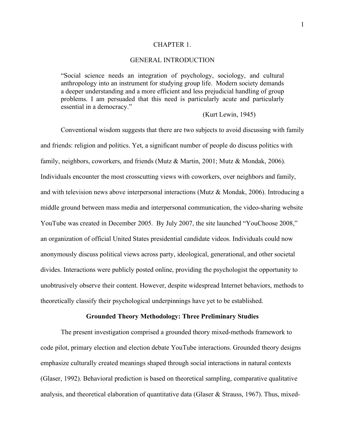#### CHAPTER 1.

#### GENERAL INTRODUCTION

"Social science needs an integration of psychology, sociology, and cultural anthropology into an instrument for studying group life. Modern society demands a deeper understanding and a more efficient and less prejudicial handling of group problems. I am persuaded that this need is particularly acute and particularly essential in a democracy."

(Kurt Lewin, 1945)

Conventional wisdom suggests that there are two subjects to avoid discussing with family and friends: religion and politics. Yet, a significant number of people do discuss politics with family, neighbors, coworkers, and friends (Mutz & Martin, 2001; Mutz & Mondak, 2006). Individuals encounter the most crosscutting views with coworkers, over neighbors and family, and with television news above interpersonal interactions (Mutz & Mondak, 2006). Introducing a middle ground between mass media and interpersonal communication, the video-sharing website YouTube was created in December 2005. By July 2007, the site launched "YouChoose 2008," an organization of official United States presidential candidate videos. Individuals could now anonymously discuss political views across party, ideological, generational, and other societal divides. Interactions were publicly posted online, providing the psychologist the opportunity to unobtrusively observe their content. However, despite widespread Internet behaviors, methods to theoretically classify their psychological underpinnings have yet to be established.

#### **Grounded Theory Methodology: Three Preliminary Studies**

The present investigation comprised a grounded theory mixed-methods framework to code pilot, primary election and election debate YouTube interactions. Grounded theory designs emphasize culturally created meanings shaped through social interactions in natural contexts (Glaser, 1992). Behavioral prediction is based on theoretical sampling, comparative qualitative analysis, and theoretical elaboration of quantitative data (Glaser  $\&$  Strauss, 1967). Thus, mixed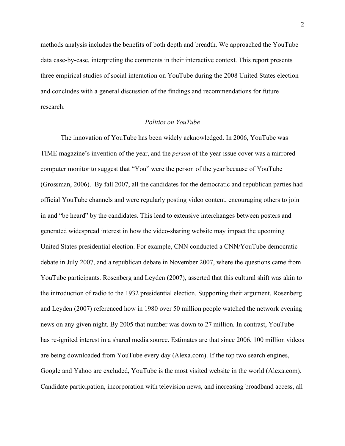methods analysis includes the benefits of both depth and breadth. We approached the YouTube data case-by-case, interpreting the comments in their interactive context. This report presents three empirical studies of social interaction on YouTube during the 2008 United States election and concludes with a general discussion of the findings and recommendations for future research.

#### *Politics on YouTube*

The innovation of YouTube has been widely acknowledged. In 2006, YouTube was TIME magazine's invention of the year, and the *person* of the year issue cover was a mirrored computer monitor to suggest that "You" were the person of the year because of YouTube (Grossman, 2006). By fall 2007, all the candidates for the democratic and republican parties had official YouTube channels and were regularly posting video content, encouraging others to join in and "be heard" by the candidates. This lead to extensive interchanges between posters and generated widespread interest in how the video-sharing website may impact the upcoming United States presidential election. For example, CNN conducted a CNN/YouTube democratic debate in July 2007, and a republican debate in November 2007, where the questions came from YouTube participants. Rosenberg and Leyden (2007), asserted that this cultural shift was akin to the introduction of radio to the 1932 presidential election. Supporting their argument, Rosenberg and Leyden (2007) referenced how in 1980 over 50 million people watched the network evening news on any given night. By 2005 that number was down to 27 million. In contrast, YouTube has re-ignited interest in a shared media source. Estimates are that since 2006, 100 million videos are being downloaded from YouTube every day (Alexa.com). If the top two search engines, Google and Yahoo are excluded, YouTube is the most visited website in the world (Alexa.com). Candidate participation, incorporation with television news, and increasing broadband access, all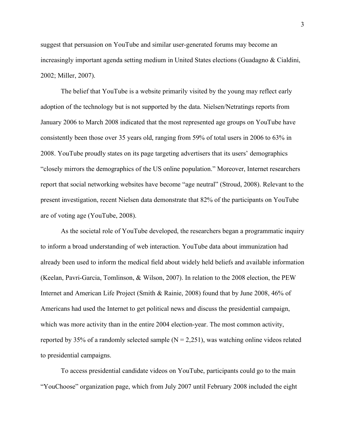suggest that persuasion on YouTube and similar user-generated forums may become an increasingly important agenda setting medium in United States elections (Guadagno & Cialdini, 2002; Miller, 2007).

The belief that YouTube is a website primarily visited by the young may reflect early adoption of the technology but is not supported by the data. Nielsen/Netratings reports from January 2006 to March 2008 indicated that the most represented age groups on YouTube have consistently been those over 35 years old, ranging from 59% of total users in 2006 to 63% in 2008. YouTube proudly states on its page targeting advertisers that its users' demographics "closely mirrors the demographics of the US online population." Moreover, Internet researchers report that social networking websites have become "age neutral" (Stroud, 2008). Relevant to the present investigation, recent Nielsen data demonstrate that 82% of the participants on YouTube are of voting age (YouTube, 2008).

As the societal role of YouTube developed, the researchers began a programmatic inquiry to inform a broad understanding of web interaction. YouTube data about immunization had already been used to inform the medical field about widely held beliefs and available information (Keelan, Pavri-Garcia, Tomlinson, & Wilson, 2007). In relation to the 2008 election, the PEW Internet and American Life Project (Smith & Rainie, 2008) found that by June 2008, 46% of Americans had used the Internet to get political news and discuss the presidential campaign, which was more activity than in the entire 2004 election-year. The most common activity, reported by 35% of a randomly selected sample  $(N = 2,251)$ , was watching online videos related to presidential campaigns.

To access presidential candidate videos on YouTube, participants could go to the main "YouChoose" organization page, which from July 2007 until February 2008 included the eight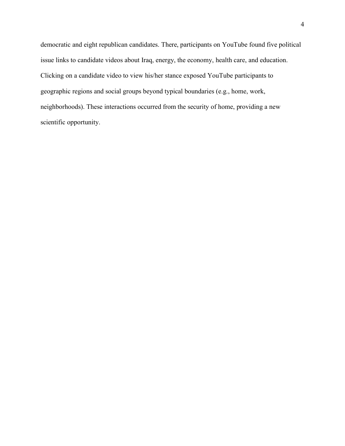democratic and eight republican candidates. There, participants on YouTube found five political issue links to candidate videos about Iraq, energy, the economy, health care, and education. Clicking on a candidate video to view his/her stance exposed YouTube participants to geographic regions and social groups beyond typical boundaries (e.g., home, work, neighborhoods). These interactions occurred from the security of home, providing a new scientific opportunity.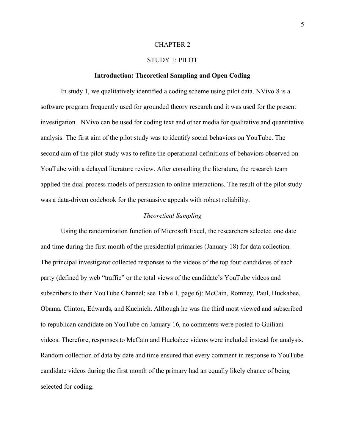#### CHAPTER 2

### STUDY 1: PILOT

#### **Introduction: Theoretical Sampling and Open Coding**

In study 1, we qualitatively identified a coding scheme using pilot data. NVivo 8 is a software program frequently used for grounded theory research and it was used for the present investigation. NVivo can be used for coding text and other media for qualitative and quantitative analysis. The first aim of the pilot study was to identify social behaviors on YouTube. The second aim of the pilot study was to refine the operational definitions of behaviors observed on YouTube with a delayed literature review. After consulting the literature, the research team applied the dual process models of persuasion to online interactions. The result of the pilot study was a data-driven codebook for the persuasive appeals with robust reliability.

#### *Theoretical Sampling*

Using the randomization function of Microsoft Excel, the researchers selected one date and time during the first month of the presidential primaries (January 18) for data collection. The principal investigator collected responses to the videos of the top four candidates of each party (defined by web "traffic" or the total views of the candidate's YouTube videos and subscribers to their YouTube Channel; see Table 1, page 6): McCain, Romney, Paul, Huckabee, Obama, Clinton, Edwards, and Kucinich. Although he was the third most viewed and subscribed to republican candidate on YouTube on January 16, no comments were posted to Guiliani videos. Therefore, responses to McCain and Huckabee videos were included instead for analysis. Random collection of data by date and time ensured that every comment in response to YouTube candidate videos during the first month of the primary had an equally likely chance of being selected for coding.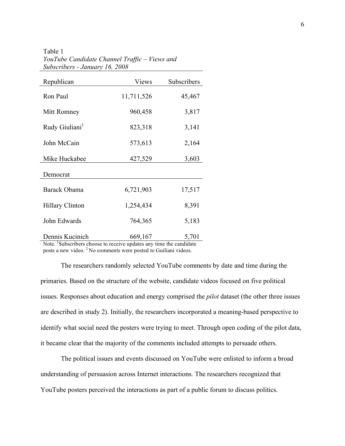Table 1 *YouTube Candidate Channel Traffic – Views and Subscribers - January 16, 2008*

| Republican                                                                                        | Views      | Subscribers |
|---------------------------------------------------------------------------------------------------|------------|-------------|
| Ron Paul                                                                                          | 11,711,526 | 45,467      |
| Mitt Romney                                                                                       | 960,458    | 3,817       |
| Rudy Giuliani <sup>1</sup>                                                                        | 823,318    | 3,141       |
| John McCain                                                                                       | 573,613    | 2,164       |
| Mike Huckabee                                                                                     | 427,529    | 3,603       |
| Democrat                                                                                          |            |             |
| Barack Obama                                                                                      | 6,721,903  | 17,517      |
| <b>Hillary Clinton</b>                                                                            | 1,254,434  | 8,391       |
| John Edwards                                                                                      | 764,365    | 5,183       |
| Dennis Kucinich<br>Note <sup>I</sup> Subscribers choose to receive undates any time the condidate | 669,167    | 5,701       |

Note. <sup>1</sup>Subscribers choose to receive updates any time the candidate posts a new video. <sup>2</sup> No comments were posted to Guiliani videos.

The researchers randomly selected YouTube comments by date and time during the primaries. Based on the structure of the website, candidate videos focused on five political issues. Responses about education and energy comprised the *pilot* dataset (the other three issues are described in study 2). Initially, the researchers incorporated a meaning-based perspective to identify what social need the posters were trying to meet. Through open coding of the pilot data, it became clear that the majority of the comments included attempts to persuade others.

The political issues and events discussed on YouTube were enlisted to inform a broad understanding of persuasion across Internet interactions. The researchers recognized that YouTube posters perceived the interactions as part of a public forum to discuss politics.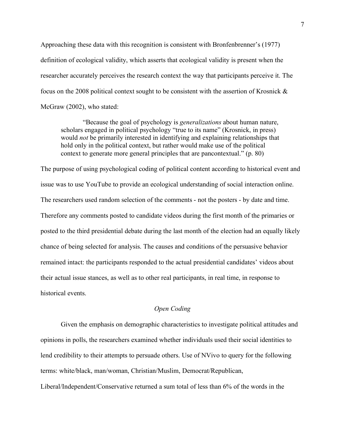Approaching these data with this recognition is consistent with Bronfenbrenner's (1977) definition of ecological validity, which asserts that ecological validity is present when the researcher accurately perceives the research context the way that participants perceive it. The focus on the 2008 political context sought to be consistent with the assertion of Krosnick & McGraw (2002), who stated:

 "Because the goal of psychology is *generalizations* about human nature, scholars engaged in political psychology "true to its name" (Krosnick, in press) would *not* be primarily interested in identifying and explaining relationships that hold only in the political context, but rather would make use of the political context to generate more general principles that are pancontextual." (p. 80)

The purpose of using psychological coding of political content according to historical event and issue was to use YouTube to provide an ecological understanding of social interaction online. The researchers used random selection of the comments - not the posters - by date and time. Therefore any comments posted to candidate videos during the first month of the primaries or posted to the third presidential debate during the last month of the election had an equally likely chance of being selected for analysis. The causes and conditions of the persuasive behavior remained intact: the participants responded to the actual presidential candidates' videos about their actual issue stances, as well as to other real participants, in real time, in response to historical events.

### *Open Coding*

Given the emphasis on demographic characteristics to investigate political attitudes and opinions in polls, the researchers examined whether individuals used their social identities to lend credibility to their attempts to persuade others. Use of NVivo to query for the following terms: white/black, man/woman, Christian/Muslim, Democrat/Republican,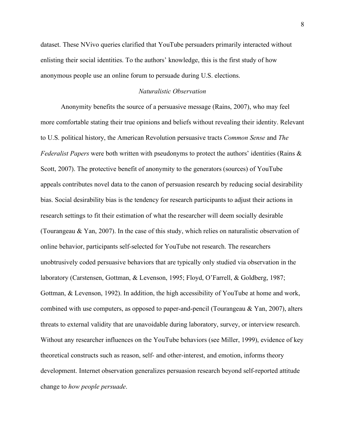dataset. These NVivo queries clarified that YouTube persuaders primarily interacted without enlisting their social identities. To the authors' knowledge, this is the first study of how anonymous people use an online forum to persuade during U.S. elections.

#### *Naturalistic Observation*

Anonymity benefits the source of a persuasive message (Rains, 2007), who may feel more comfortable stating their true opinions and beliefs without revealing their identity. Relevant to U.S. political history, the American Revolution persuasive tracts *Common Sense* and *The Federalist Papers* were both written with pseudonyms to protect the authors' identities (Rains & Scott, 2007). The protective benefit of anonymity to the generators (sources) of YouTube appeals contributes novel data to the canon of persuasion research by reducing social desirability bias. Social desirability bias is the tendency for research participants to adjust their actions in research settings to fit their estimation of what the researcher will deem socially desirable (Tourangeau & Yan, 2007). In the case of this study, which relies on naturalistic observation of online behavior, participants self-selected for YouTube not research. The researchers unobtrusively coded persuasive behaviors that are typically only studied via observation in the laboratory (Carstensen, Gottman, & Levenson, 1995; Floyd, O'Farrell, & Goldberg, 1987; Gottman, & Levenson, 1992). In addition, the high accessibility of YouTube at home and work, combined with use computers, as opposed to paper-and-pencil (Tourangeau  $& Yan, 2007$ ), alters threats to external validity that are unavoidable during laboratory, survey, or interview research. Without any researcher influences on the YouTube behaviors (see Miller, 1999), evidence of key theoretical constructs such as reason, self- and other-interest, and emotion, informs theory development. Internet observation generalizes persuasion research beyond self-reported attitude change to *how people persuade*.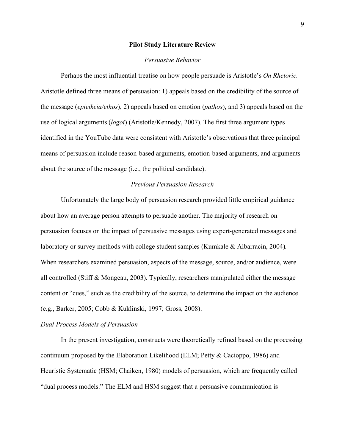#### **Pilot Study Literature Review**

#### *Persuasive Behavior*

Perhaps the most influential treatise on how people persuade is Aristotle's *On Rhetoric.* Aristotle defined three means of persuasion: 1) appeals based on the credibility of the source of the message (*epieikeia/ethos*), 2) appeals based on emotion (*pathos*), and 3) appeals based on the use of logical arguments (*logoi*) (Aristotle/Kennedy, 2007). The first three argument types identified in the YouTube data were consistent with Aristotle's observations that three principal means of persuasion include reason-based arguments, emotion-based arguments, and arguments about the source of the message (i.e., the political candidate).

#### *Previous Persuasion Research*

Unfortunately the large body of persuasion research provided little empirical guidance about how an average person attempts to persuade another. The majority of research on persuasion focuses on the impact of persuasive messages using expert-generated messages and laboratory or survey methods with college student samples (Kumkale & Albarracin, 2004). When researchers examined persuasion, aspects of the message, source, and/or audience, were all controlled (Stiff & Mongeau, 2003). Typically, researchers manipulated either the message content or "cues," such as the credibility of the source, to determine the impact on the audience (e.g., Barker, 2005; Cobb & Kuklinski, 1997; Gross, 2008).

#### *Dual Process Models of Persuasion*

In the present investigation, constructs were theoretically refined based on the processing continuum proposed by the Elaboration Likelihood (ELM; Petty & Cacioppo, 1986) and Heuristic Systematic (HSM; Chaiken, 1980) models of persuasion, which are frequently called "dual process models." The ELM and HSM suggest that a persuasive communication is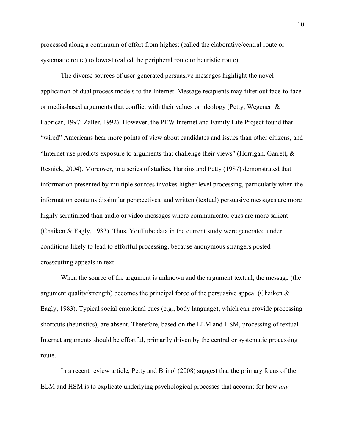processed along a continuum of effort from highest (called the elaborative/central route or systematic route) to lowest (called the peripheral route or heuristic route).

The diverse sources of user-generated persuasive messages highlight the novel application of dual process models to the Internet. Message recipients may filter out face-to-face or media-based arguments that conflict with their values or ideology (Petty, Wegener,  $\&$ Fabricar, 1997; Zaller, 1992). However, the PEW Internet and Family Life Project found that "wired" Americans hear more points of view about candidates and issues than other citizens, and "Internet use predicts exposure to arguments that challenge their views" (Horrigan, Garrett,  $\&$ Resnick, 2004). Moreover, in a series of studies, Harkins and Petty (1987) demonstrated that information presented by multiple sources invokes higher level processing, particularly when the information contains dissimilar perspectives, and written (textual) persuasive messages are more highly scrutinized than audio or video messages where communicator cues are more salient (Chaiken & Eagly, 1983). Thus, YouTube data in the current study were generated under conditions likely to lead to effortful processing, because anonymous strangers posted crosscutting appeals in text.

When the source of the argument is unknown and the argument textual, the message (the argument quality/strength) becomes the principal force of the persuasive appeal (Chaiken & Eagly, 1983). Typical social emotional cues (e.g., body language), which can provide processing shortcuts (heuristics), are absent. Therefore, based on the ELM and HSM, processing of textual Internet arguments should be effortful, primarily driven by the central or systematic processing route.

In a recent review article, Petty and Brinol (2008) suggest that the primary focus of the ELM and HSM is to explicate underlying psychological processes that account for how *any*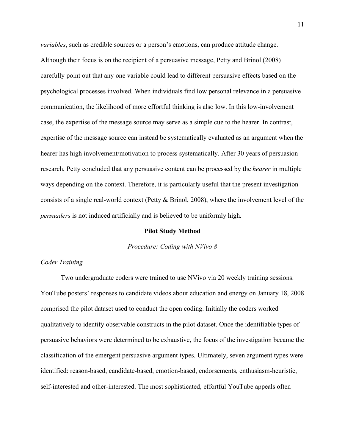*variables*, such as credible sources or a person's emotions, can produce attitude change. Although their focus is on the recipient of a persuasive message, Petty and Brinol (2008) carefully point out that any one variable could lead to different persuasive effects based on the psychological processes involved. When individuals find low personal relevance in a persuasive communication, the likelihood of more effortful thinking is also low. In this low-involvement case, the expertise of the message source may serve as a simple cue to the hearer. In contrast, expertise of the message source can instead be systematically evaluated as an argument when the hearer has high involvement/motivation to process systematically. After 30 years of persuasion research, Petty concluded that any persuasive content can be processed by the *hearer* in multiple ways depending on the context. Therefore, it is particularly useful that the present investigation consists of a single real-world context (Petty & Brinol, 2008), where the involvement level of the *persuaders* is not induced artificially and is believed to be uniformly high.

#### **Pilot Study Method**

#### *Procedure: Coding with NVivo 8*

#### *Coder Training*

Two undergraduate coders were trained to use NVivo via 20 weekly training sessions. YouTube posters' responses to candidate videos about education and energy on January 18, 2008 comprised the pilot dataset used to conduct the open coding. Initially the coders worked qualitatively to identify observable constructs in the pilot dataset. Once the identifiable types of persuasive behaviors were determined to be exhaustive, the focus of the investigation became the classification of the emergent persuasive argument types. Ultimately, seven argument types were identified: reason-based, candidate-based, emotion-based, endorsements, enthusiasm-heuristic, self-interested and other-interested. The most sophisticated, effortful YouTube appeals often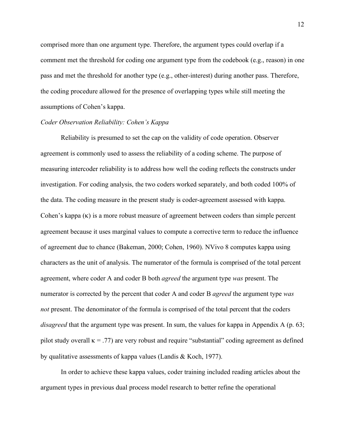comprised more than one argument type. Therefore, the argument types could overlap if a comment met the threshold for coding one argument type from the codebook (e.g., reason) in one pass and met the threshold for another type (e.g., other-interest) during another pass. Therefore, the coding procedure allowed for the presence of overlapping types while still meeting the assumptions of Cohen's kappa.

#### *Coder Observation Reliability: Cohen's Kappa*

Reliability is presumed to set the cap on the validity of code operation. Observer agreement is commonly used to assess the reliability of a coding scheme. The purpose of measuring intercoder reliability is to address how well the coding reflects the constructs under investigation. For coding analysis, the two coders worked separately, and both coded 100% of the data. The coding measure in the present study is coder-agreement assessed with kappa. Cohen's kappa (κ) is a more robust measure of agreement between coders than simple percent agreement because it uses marginal values to compute a corrective term to reduce the influence of agreement due to chance (Bakeman, 2000; Cohen, 1960). NVivo 8 computes kappa using characters as the unit of analysis. The numerator of the formula is comprised of the total percent agreement, where coder A and coder B both *agreed* the argument type *was* present. The numerator is corrected by the percent that coder A and coder B *agreed* the argument type *was not* present. The denominator of the formula is comprised of the total percent that the coders *disagreed* that the argument type was present. In sum, the values for kappa in Appendix A (p. 63; pilot study overall  $\kappa = .77$ ) are very robust and require "substantial" coding agreement as defined by qualitative assessments of kappa values (Landis & Koch, 1977).

In order to achieve these kappa values, coder training included reading articles about the argument types in previous dual process model research to better refine the operational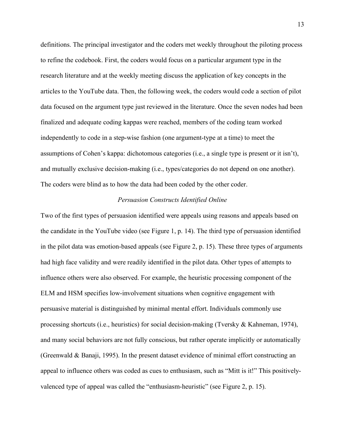definitions. The principal investigator and the coders met weekly throughout the piloting process to refine the codebook. First, the coders would focus on a particular argument type in the research literature and at the weekly meeting discuss the application of key concepts in the articles to the YouTube data. Then, the following week, the coders would code a section of pilot data focused on the argument type just reviewed in the literature. Once the seven nodes had been finalized and adequate coding kappas were reached, members of the coding team worked independently to code in a step-wise fashion (one argument-type at a time) to meet the assumptions of Cohen's kappa: dichotomous categories (i.e., a single type is present or it isn't), and mutually exclusive decision-making (i.e., types/categories do not depend on one another). The coders were blind as to how the data had been coded by the other coder.

#### *Persuasion Constructs Identified Online*

Two of the first types of persuasion identified were appeals using reasons and appeals based on the candidate in the YouTube video (see Figure 1, p. 14). The third type of persuasion identified in the pilot data was emotion-based appeals (see Figure 2, p. 15). These three types of arguments had high face validity and were readily identified in the pilot data. Other types of attempts to influence others were also observed. For example, the heuristic processing component of the ELM and HSM specifies low-involvement situations when cognitive engagement with persuasive material is distinguished by minimal mental effort. Individuals commonly use processing shortcuts (i.e., heuristics) for social decision-making (Tversky & Kahneman, 1974), and many social behaviors are not fully conscious, but rather operate implicitly or automatically (Greenwald & Banaji, 1995). In the present dataset evidence of minimal effort constructing an appeal to influence others was coded as cues to enthusiasm, such as "Mitt is it!" This positivelyvalenced type of appeal was called the "enthusiasm-heuristic" (see Figure 2, p. 15).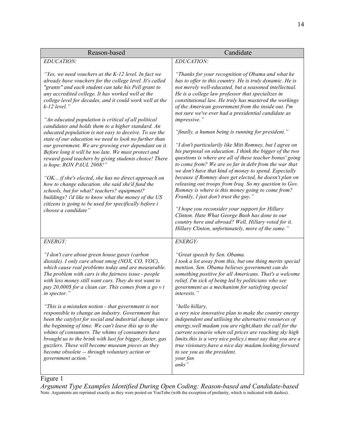| Reason-based                                                                                                                                                                                                                                                                                                                                                                                                                                                                                                                                                                                                                                                                                                                                                                                                                                                                                                                                                                                                                                          | Candidate                                                                                                                                                                                                                                                                                                                                                                                                                                                                                                                                                                                                                                                                                                                                                                                                                                                                                                                                                                                                                                                                                                                                                                                                            |  |
|-------------------------------------------------------------------------------------------------------------------------------------------------------------------------------------------------------------------------------------------------------------------------------------------------------------------------------------------------------------------------------------------------------------------------------------------------------------------------------------------------------------------------------------------------------------------------------------------------------------------------------------------------------------------------------------------------------------------------------------------------------------------------------------------------------------------------------------------------------------------------------------------------------------------------------------------------------------------------------------------------------------------------------------------------------|----------------------------------------------------------------------------------------------------------------------------------------------------------------------------------------------------------------------------------------------------------------------------------------------------------------------------------------------------------------------------------------------------------------------------------------------------------------------------------------------------------------------------------------------------------------------------------------------------------------------------------------------------------------------------------------------------------------------------------------------------------------------------------------------------------------------------------------------------------------------------------------------------------------------------------------------------------------------------------------------------------------------------------------------------------------------------------------------------------------------------------------------------------------------------------------------------------------------|--|
| EDUCATION:                                                                                                                                                                                                                                                                                                                                                                                                                                                                                                                                                                                                                                                                                                                                                                                                                                                                                                                                                                                                                                            | EDUCATION:                                                                                                                                                                                                                                                                                                                                                                                                                                                                                                                                                                                                                                                                                                                                                                                                                                                                                                                                                                                                                                                                                                                                                                                                           |  |
| "Yes, we need vouchers at the K-12 level. In fact we<br>already have vouchers for the college level. It's called<br>"grants" and each student can take his Pell grant to<br>any accredited college. It has worked well at the<br>college level for decades, and it could work well at the<br>$k-12$ level."<br>"An educated population is critical of all political<br>candidates and holds them to a higher standard. An<br>educated population is not easy to deceive. To see the<br>state of our education we need to look no further than<br>our government. We are growing ever dependant on it.<br>Before long it will be too late. We must protect and<br>reward good teachers by giving students choice! There<br>is hope. RON PAUL 2008!"<br>"OK if she's elected, she has no direct approach on<br>how to change education. she said she'd fund the<br>schools, but for what? teachers? equipment?<br>buildings? i'd like to know what the money of the US<br>citizens is going to be used for specifically before i<br>choose a candidate" | "Thanks for your recognition of Obama and what he<br>has to offer to this country. He is truly dynamic. He is<br>not merely well-educated, but a seasoned intellectual.<br>He is a college law professor that specializes in<br>constitutional law. He truly has mastered the workings<br>of the American government from the inside out. I'm<br>not sure we've ever had a presidential candidate as<br>impressive."<br>"finally, a human being is running for president."<br>"I don't particularily like Mitt Romney, but I agree on<br>his purposal on education. I think the bigger of the two<br>questions is where are all of these teacher bonus' going<br>to come from? We are so far in debt from the war that<br>we don't have that kind of money to spend. Especially<br>because if Romney does get elected, he doesn't plan on<br>releasing out troops from Iraq. So my question to Gov.<br>Romney is where is this money going to come from?<br>Frankly, I just don't trust the guy."<br>"I hope you reconsider your support for Hillary<br>Clinton. Hate What George Bush has done to our<br>country here and abroad? Well, Hillary voted for it.<br>Hillary Clinton, unfortunately, more of the same." |  |
| ENERGY:                                                                                                                                                                                                                                                                                                                                                                                                                                                                                                                                                                                                                                                                                                                                                                                                                                                                                                                                                                                                                                               | ENERGY:                                                                                                                                                                                                                                                                                                                                                                                                                                                                                                                                                                                                                                                                                                                                                                                                                                                                                                                                                                                                                                                                                                                                                                                                              |  |
| "I don't care about green house gases (carbon<br>dioxide). I only care about smog (NOX, CO, VOC),<br>which cause real problems today and are measurable.<br>The problem with cars is the fairness issue - people<br>with less money still want cars. They do not want to<br>pay 20,000\$ for a clean car. This comes from a go $vt$<br>in spector."                                                                                                                                                                                                                                                                                                                                                                                                                                                                                                                                                                                                                                                                                                   | "Great speech by Sen. Obama.<br>I took a lot away from this, but one thing merits special<br>mention. Sen. Obama believes government can do<br>something positive for all Americans. That's a welcome<br>relief. I'm sick of being led by politicians who see<br>government as a mechanism for satisfying special<br>interests."                                                                                                                                                                                                                                                                                                                                                                                                                                                                                                                                                                                                                                                                                                                                                                                                                                                                                     |  |
| "This is a mistaken notion - that government is not<br>responsible to change an industry. Government has<br>been the catylyst for social and industrial change since<br>the beginning of time. We can't leave this up to the<br>whims of consumers. The whims of consumers have<br>brought us to the brink with lust for bigger, faster, gas<br>guzzlers. These will become museum pieces as they<br>become obsolete -- through voluntary action or<br>government action."                                                                                                                                                                                                                                                                                                                                                                                                                                                                                                                                                                            | "hello hillary,<br>a very nice innovative plan to make the country energy<br>independent and utilising the alternative resources of<br>energy, well madam you are right, thats the call for the<br>current scenario when oil prices are reaching sky high<br>limits.this is a very nice policy, i must say that you are a<br>true visionary, have a nice day madam.looking forward<br>to see you as the president.<br>your fan<br>anks"                                                                                                                                                                                                                                                                                                                                                                                                                                                                                                                                                                                                                                                                                                                                                                              |  |

# Figure 1

*Argument Type Examples Identified During Open Coding: Reason-based and Candidate-based* Note. Arguments are reprinted exactly as they were posted on YouTube (with the exception of profanity, which is indicated with dashes).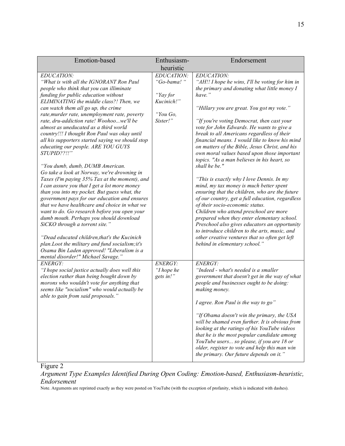| Emotion-based                                                                                                                                                                                                                                                                                                                                                                                                                                                                                                                                                                                                                                                                                                                                                                                                                                                                                                                                                                                                                                                                                                                                                                       | Enthusiasm-                                                                | Endorsement                                                                                                                                                                                                                                                                                                                                                                                                                                                                                                                                                                                                                                                                                                                                                                                                                                                                                                                                                                                                                                            |
|-------------------------------------------------------------------------------------------------------------------------------------------------------------------------------------------------------------------------------------------------------------------------------------------------------------------------------------------------------------------------------------------------------------------------------------------------------------------------------------------------------------------------------------------------------------------------------------------------------------------------------------------------------------------------------------------------------------------------------------------------------------------------------------------------------------------------------------------------------------------------------------------------------------------------------------------------------------------------------------------------------------------------------------------------------------------------------------------------------------------------------------------------------------------------------------|----------------------------------------------------------------------------|--------------------------------------------------------------------------------------------------------------------------------------------------------------------------------------------------------------------------------------------------------------------------------------------------------------------------------------------------------------------------------------------------------------------------------------------------------------------------------------------------------------------------------------------------------------------------------------------------------------------------------------------------------------------------------------------------------------------------------------------------------------------------------------------------------------------------------------------------------------------------------------------------------------------------------------------------------------------------------------------------------------------------------------------------------|
|                                                                                                                                                                                                                                                                                                                                                                                                                                                                                                                                                                                                                                                                                                                                                                                                                                                                                                                                                                                                                                                                                                                                                                                     | heuristic                                                                  |                                                                                                                                                                                                                                                                                                                                                                                                                                                                                                                                                                                                                                                                                                                                                                                                                                                                                                                                                                                                                                                        |
| EDUCATION:<br>"What is with all the IGNORANT Ron Paul<br>people who think that you can illiminate<br>funding for public education without<br>ELIMINATING the middle class?! Then, we<br>can watch them all go up, the crime<br>rate, murder rate, unemployment rate, poverty<br>rate, dru-addiction rate! Woohoowe'll be<br>almost as uneducated as a third world<br>country!!! I thought Ron Paul was okay until<br>all his supporters started saying we should stop<br>educating our people. ARE YOU GUYS<br>STUPID??!!"<br>"You dumb, dumb, DUMB American.<br>Go take a look at Norway, we're drowning in<br>Taxes (I'm paying 35% Tax at the moment), and<br>I can assure you that I get a lot more money<br>than you into my pocket. But guess what, the<br>government pays for our education and ensures<br>that we have healthcare and choice in what we<br>want to do. Go research before you open your<br>dumb mouth. Perhaps you should download<br>SiCKO through a torrent site."<br>"Dead educated children, that's the Kucinich<br>plan.Loot the military and fund socialism; it's<br>Osama Bin Laden approved! "Liberalism is a<br>mental disorder!" Michael Savage." | EDUCATION:<br>"Go-bama!"<br>"Yay for<br>Kucinich!"<br>"You Go,<br>Sister!" | <b>EDUCATION:</b><br>"AH!! I hope he wins, I'll be voting for him in<br>the primary and donating what little money I<br>have."<br>"Hillary you are great. You got my vote."<br>"If you're voting Democrat, then cast your<br>vote for John Edwards. He wants to give a<br>break to all Americans regardless of their<br>financial means. I would like to know his mind<br>on matters of the Bible, Jesus Christ, and his<br>own moral values based upon those important<br>topics. "As a man believes in his heart, so<br>shall he be."<br>"This is exactly why I love Dennis. In my<br>mind, my tax money is much better spent<br>ensuring that the children, who are the future<br>of our country, get a full education, regardless<br>of their socio-economic status.<br>Children who attend preschool are more<br>prepared when they enter elementary school.<br>Preschool also gives educators an opportunity<br>to introduce children to the arts, music, and<br>other creative ventures that so often get left<br>behind in elementary school." |
| <b>ENERGY:</b><br>"I hope social justice actually does well this<br>election rather than being bought down by<br>morons who wouldn't vote for anything that<br>seems like "socialism" who would actually be<br>able to gain from said proposals."                                                                                                                                                                                                                                                                                                                                                                                                                                                                                                                                                                                                                                                                                                                                                                                                                                                                                                                                   | ENERGY:<br>"I hope he<br>gets in!"                                         | ENERGY:<br>"Indeed - what's needed is a smaller<br>government that doesn't get in the way of what<br>people and businesses ought to be doing:<br>making money.<br>I agree. Ron Paul is the way to go"<br>"If Obama doesn't win the primary, the USA<br>will be shamed even further. It is obvious from<br>looking at the ratings of his YouTube videos<br>that he is the most popular candidate among<br>YouTube users so please, if you are 18 or<br>older, register to vote and help this man win<br>the primary. Our future depends on it."                                                                                                                                                                                                                                                                                                                                                                                                                                                                                                         |

Figure 2

*Argument Type Examples Identified During Open Coding: Emotion-based, Enthusiasm-heuristic, Endorsement*

Note. Arguments are reprinted exactly as they were posted on YouTube (with the exception of profanity, which is indicated with dashes).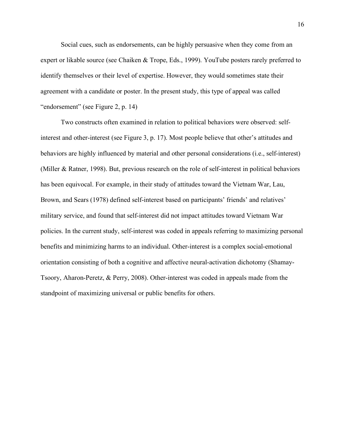Social cues, such as endorsements, can be highly persuasive when they come from an expert or likable source (see Chaiken & Trope, Eds., 1999). YouTube posters rarely preferred to identify themselves or their level of expertise. However, they would sometimes state their agreement with a candidate or poster. In the present study, this type of appeal was called "endorsement" (see Figure 2, p. 14)

Two constructs often examined in relation to political behaviors were observed: selfinterest and other-interest (see Figure 3, p. 17). Most people believe that other's attitudes and behaviors are highly influenced by material and other personal considerations (i.e., self-interest) (Miller & Ratner, 1998). But, previous research on the role of self-interest in political behaviors has been equivocal. For example, in their study of attitudes toward the Vietnam War, Lau, Brown, and Sears (1978) defined self-interest based on participants' friends' and relatives' military service, and found that self-interest did not impact attitudes toward Vietnam War policies. In the current study, self-interest was coded in appeals referring to maximizing personal benefits and minimizing harms to an individual. Other-interest is a complex social-emotional orientation consisting of both a cognitive and affective neural-activation dichotomy (Shamay-Tsoory, Aharon-Peretz, & Perry, 2008). Other-interest was coded in appeals made from the standpoint of maximizing universal or public benefits for others.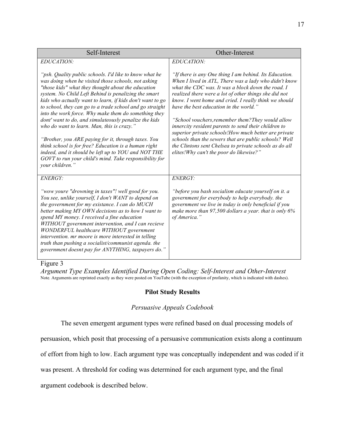| Self-Interest                                                                                                                                                                                                                                                                                                                                                                                                                                                                                                                                                                                                                                                                                                                                                          | Other-Interest                                                                                                                                                                                                                                                                                                                                                                                                                                                                                                                                                                                                                                                       |  |
|------------------------------------------------------------------------------------------------------------------------------------------------------------------------------------------------------------------------------------------------------------------------------------------------------------------------------------------------------------------------------------------------------------------------------------------------------------------------------------------------------------------------------------------------------------------------------------------------------------------------------------------------------------------------------------------------------------------------------------------------------------------------|----------------------------------------------------------------------------------------------------------------------------------------------------------------------------------------------------------------------------------------------------------------------------------------------------------------------------------------------------------------------------------------------------------------------------------------------------------------------------------------------------------------------------------------------------------------------------------------------------------------------------------------------------------------------|--|
| EDUCATION:                                                                                                                                                                                                                                                                                                                                                                                                                                                                                                                                                                                                                                                                                                                                                             | EDUCATION:                                                                                                                                                                                                                                                                                                                                                                                                                                                                                                                                                                                                                                                           |  |
| "psh. Quality public schools. I'd like to know what he<br>was doing when he visited those schools, not asking<br>"those kids" what they thought about the education<br>system. No Child Left Behind is penalizing the smart<br>kids who actually want to learn, if kids don't want to go<br>to school, they can go to a trade school and go straight<br>into the work force. Why make them do something they<br>dont' want to do, and simulateously penalize the kids<br>who do want to learn. Man, this is crazy."<br>"Brother, you ARE paying for it, through taxes. You<br>think school is for free? Education is a human right<br>indeed, and it should be left up to YOU and NOT THE<br>GOVT to run your child's mind. Take responsibility for<br>your children." | "If there is any One thing I am behind. Its Education.<br>When I lived in ATL, There was a lady who didn't know<br>what the CDC was. It was a block down the road. I<br>realized there were a lot of other things she did not<br>know. I went home and cried. I really think we should<br>have the best education in the world."<br>"School vouchers, remember them? They would allow<br>innercity resident parents to send their children to<br>superior private schools!How much better are private<br>schools than the sewers that are public schools? Well<br>the Clintons sent Chelsea to private schools as do all<br>elites! Why can't the poor do likewise?" |  |
| <b>ENERGY:</b>                                                                                                                                                                                                                                                                                                                                                                                                                                                                                                                                                                                                                                                                                                                                                         | ENERGY:                                                                                                                                                                                                                                                                                                                                                                                                                                                                                                                                                                                                                                                              |  |
| "wow youre "drowning in taxes"! well good for you.<br>You see, unlike yourself, I don't WANT to depend on<br>the government for my existance. I can do MUCH<br>better making MY OWN decisions as to how I want to<br>spend MY money. I received a fine education<br>WITHOUT government intervention, and I can recieve<br>WONDERFUL healthcare WITHOUT government<br>intervention. mr moore is more interested in telling<br>truth than pushing a socialist/communist agenda. the<br>government doesnt pay for ANYTHING, taxpayers do."                                                                                                                                                                                                                                | "before you bash socialism educate yourself on it. a<br>government for everybody to help everybody. the<br>government we live in today is only beneficial if you<br>make more than 97,500 dollars a year. that is only 6%<br>of America."                                                                                                                                                                                                                                                                                                                                                                                                                            |  |

#### Figure 3

*Argument Type Examples Identified During Open Coding: Self-Interest and Other-Interest* Note*.* Arguments are reprinted exactly as they were posted on YouTube (with the exception of profanity, which is indicated with dashes).

### **Pilot Study Results**

#### *Persuasive Appeals Codebook*

The seven emergent argument types were refined based on dual processing models of

persuasion, which posit that processing of a persuasive communication exists along a continuum

of effort from high to low. Each argument type was conceptually independent and was coded if it

was present. A threshold for coding was determined for each argument type, and the final

argument codebook is described below.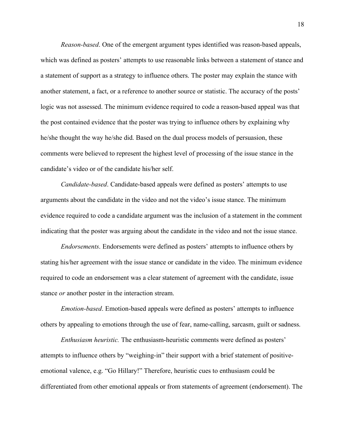*Reason-based*. One of the emergent argument types identified was reason-based appeals, which was defined as posters' attempts to use reasonable links between a statement of stance and a statement of support as a strategy to influence others. The poster may explain the stance with another statement, a fact, or a reference to another source or statistic. The accuracy of the posts' logic was not assessed. The minimum evidence required to code a reason-based appeal was that the post contained evidence that the poster was trying to influence others by explaining why he/she thought the way he/she did. Based on the dual process models of persuasion, these comments were believed to represent the highest level of processing of the issue stance in the candidate's video or of the candidate his/her self.

*Candidate-based*. Candidate-based appeals were defined as posters' attempts to use arguments about the candidate in the video and not the video's issue stance. The minimum evidence required to code a candidate argument was the inclusion of a statement in the comment indicating that the poster was arguing about the candidate in the video and not the issue stance.

*Endorsements*. Endorsements were defined as posters' attempts to influence others by stating his/her agreement with the issue stance or candidate in the video. The minimum evidence required to code an endorsement was a clear statement of agreement with the candidate, issue stance *or* another poster in the interaction stream.

*Emotion-based*. Emotion-based appeals were defined as posters' attempts to influence others by appealing to emotions through the use of fear, name-calling, sarcasm, guilt or sadness.

*Enthusiasm heuristic.* The enthusiasm-heuristic comments were defined as posters' attempts to influence others by "weighing-in" their support with a brief statement of positiveemotional valence, e.g. "Go Hillary!" Therefore, heuristic cues to enthusiasm could be differentiated from other emotional appeals or from statements of agreement (endorsement). The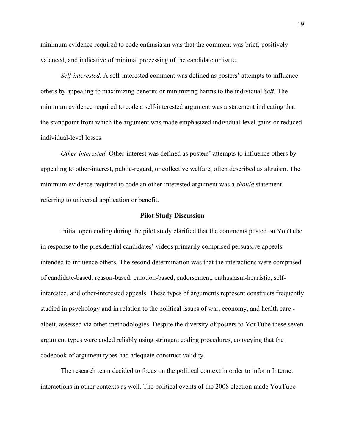minimum evidence required to code enthusiasm was that the comment was brief, positively valenced, and indicative of minimal processing of the candidate or issue.

*Self-interested*. A self-interested comment was defined as posters' attempts to influence others by appealing to maximizing benefits or minimizing harms to the individual *Self.* The minimum evidence required to code a self-interested argument was a statement indicating that the standpoint from which the argument was made emphasized individual-level gains or reduced individual-level losses.

*Other-interested*. Other-interest was defined as posters' attempts to influence others by appealing to other-interest, public-regard, or collective welfare, often described as altruism. The minimum evidence required to code an other-interested argument was a *should* statement referring to universal application or benefit.

#### **Pilot Study Discussion**

Initial open coding during the pilot study clarified that the comments posted on YouTube in response to the presidential candidates' videos primarily comprised persuasive appeals intended to influence others. The second determination was that the interactions were comprised of candidate-based, reason-based, emotion-based, endorsement, enthusiasm-heuristic, selfinterested, and other-interested appeals. These types of arguments represent constructs frequently studied in psychology and in relation to the political issues of war, economy, and health care albeit, assessed via other methodologies. Despite the diversity of posters to YouTube these seven argument types were coded reliably using stringent coding procedures, conveying that the codebook of argument types had adequate construct validity.

The research team decided to focus on the political context in order to inform Internet interactions in other contexts as well. The political events of the 2008 election made YouTube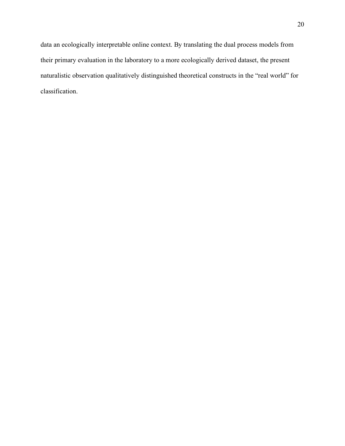data an ecologically interpretable online context. By translating the dual process models from their primary evaluation in the laboratory to a more ecologically derived dataset, the present naturalistic observation qualitatively distinguished theoretical constructs in the "real world" for classification.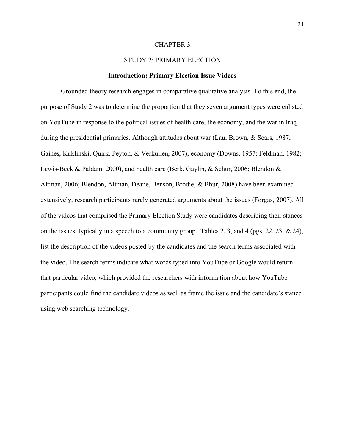#### CHAPTER 3

### STUDY 2: PRIMARY ELECTION

#### **Introduction: Primary Election Issue Videos**

Grounded theory research engages in comparative qualitative analysis. To this end, the purpose of Study 2 was to determine the proportion that they seven argument types were enlisted on YouTube in response to the political issues of health care, the economy, and the war in Iraq during the presidential primaries. Although attitudes about war (Lau, Brown, & Sears, 1987; Gaines, Kuklinski, Quirk, Peyton, & Verkuilen, 2007), economy (Downs, 1957; Feldman, 1982; Lewis-Beck & Paldam, 2000), and health care (Berk, Gaylin, & Schur, 2006; Blendon & Altman, 2006; Blendon, Altman, Deane, Benson, Brodie, & Bhur, 2008) have been examined extensively, research participants rarely generated arguments about the issues (Forgas, 2007). All of the videos that comprised the Primary Election Study were candidates describing their stances on the issues, typically in a speech to a community group. Tables 2, 3, and 4 (pgs. 22, 23, & 24), list the description of the videos posted by the candidates and the search terms associated with the video. The search terms indicate what words typed into YouTube or Google would return that particular video, which provided the researchers with information about how YouTube participants could find the candidate videos as well as frame the issue and the candidate's stance using web searching technology.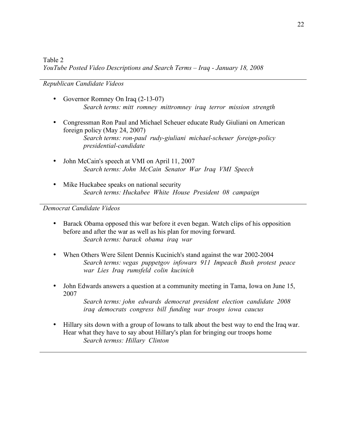*Republican Candidate Videos*

- Governor Romney On Iraq (2-13-07) *Search terms: mitt romney mittromney iraq terror mission strength*
- Congressman Ron Paul and Michael Scheuer educate Rudy Giuliani on American foreign policy (May 24, 2007) *Search terms: ron-paul rudy-giuliani michael-scheuer foreign-policy presidential-candidate*
- John McCain's speech at VMI on April 11, 2007 *Search terms: John McCain Senator War Iraq VMI Speech*
- Mike Huckabee speaks on national security *Search terms: Huckabee White House President 08 campaign*

*Democrat Candidate Videos*

- Barack Obama opposed this war before it even began. Watch clips of his opposition before and after the war as well as his plan for moving forward. *Search terms: barack obama iraq war*
- When Others Were Silent Dennis Kucinich's stand against the war 2002-2004 *Search terms: vegas puppetgov infowars 911 Impeach Bush protest peace war Lies Iraq rumsfeld colin kucinich*
- John Edwards answers a question at a community meeting in Tama, Iowa on June 15, 2007

*Search terms: john edwards democrat president election candidate 2008 iraq democrats congress bill funding war troops iowa caucus*

• Hillary sits down with a group of Iowans to talk about the best way to end the Iraq war. Hear what they have to say about Hillary's plan for bringing our troops home *Search termss: Hillary Clinton*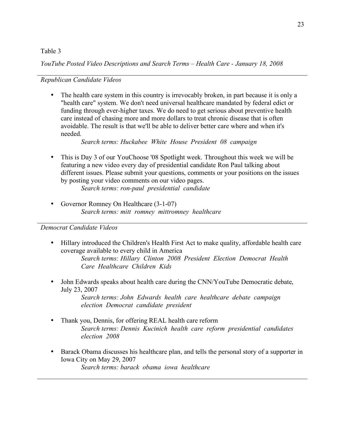## Table 3

*YouTube Posted Video Descriptions and Search Terms – Health Care - January 18, 2008*

## *Republican Candidate Videos*

The health care system in this country is irrevocably broken, in part because it is only a "health care" system. We don't need universal healthcare mandated by federal edict or funding through ever-higher taxes. We do need to get serious about preventive health care instead of chasing more and more dollars to treat chronic disease that is often avoidable. The result is that we'll be able to deliver better care where and when it's needed.

*Search terms: Huckabee White House President 08 campaign*

- This is Day 3 of our YouChoose '08 Spotlight week. Throughout this week we will be featuring a new video every day of presidential candidate Ron Paul talking about different issues. Please submit your questions, comments or your positions on the issues by posting your video comments on our video pages. *Search terms: ron-paul presidential candidate*
- Governor Romney On Healthcare (3-1-07) *Search terms: mitt romney mittromney healthcare*

## *Democrat Candidate Videos*

- Hillary introduced the Children's Health First Act to make quality, affordable health care coverage available to every child in America *Search terms: Hillary Clinton 2008 President Election Democrat Health Care Healthcare Children Kids*
- John Edwards speaks about health care during the CNN/YouTube Democratic debate, July 23, 2007

*Search terms: John Edwards health care healthcare debate campaign election Democrat candidate president*

- Thank you, Dennis, for offering REAL health care reform *Search terms: Dennis Kucinich health care reform presidential candidates election 2008*
- Barack Obama discusses his healthcare plan, and tells the personal story of a supporter in Iowa City on May 29, 2007 *Search terms: barack obama iowa healthcare*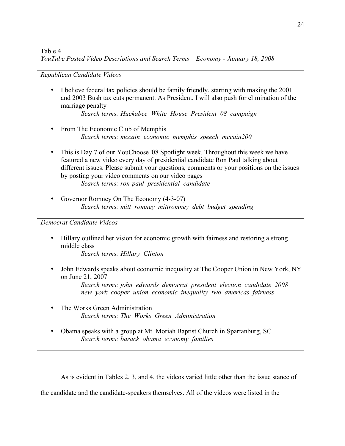*Republican Candidate Videos*

• I believe federal tax policies should be family friendly, starting with making the 2001 and 2003 Bush tax cuts permanent. As President, I will also push for elimination of the marriage penalty

*Search terms: Huckabee White House President 08 campaign*

- From The Economic Club of Memphis *Search terms: mccain economic memphis speech mccain200*
- This is Day 7 of our YouChoose '08 Spotlight week. Throughout this week we have featured a new video every day of presidential candidate Ron Paul talking about different issues. Please submit your questions, comments or your positions on the issues by posting your video comments on our video pages *Search terms: ron-paul presidential candidate*
- Governor Romney On The Economy (4-3-07) *Search terms: mitt romney mittromney debt budget spending*

*Democrat Candidate Videos*

• Hillary outlined her vision for economic growth with fairness and restoring a strong middle class

*Search terms: Hillary Clinton*

• John Edwards speaks about economic inequality at The Cooper Union in New York, NY on June 21, 2007

*Search terms: john edwards democrat president election candidate 2008 new york cooper union economic inequality two americas fairness*

- The Works Green Administration *Search terms: The Works Green Administration*
- Obama speaks with a group at Mt. Moriah Baptist Church in Spartanburg, SC *Search terms: barack obama economy families*

As is evident in Tables 2, 3, and 4, the videos varied little other than the issue stance of

the candidate and the candidate-speakers themselves. All of the videos were listed in the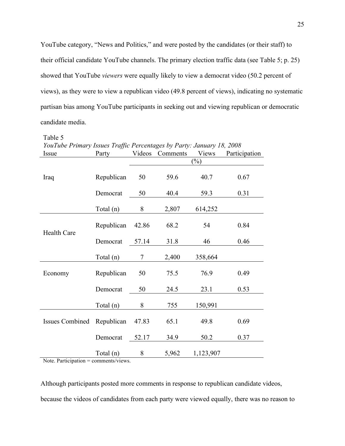YouTube category, "News and Politics," and were posted by the candidates (or their staff) to their official candidate YouTube channels. The primary election traffic data (see Table 5; p. 25) showed that YouTube *viewers* were equally likely to view a democrat video (50.2 percent of views), as they were to view a republican video (49.8 percent of views), indicating no systematic partisan bias among YouTube participants in seeking out and viewing republican or democratic candidate media.

Table 5

| YouTube Primary Issues Traffic Percentages by Party: January 18, 2008 |             |                          |          |           |               |
|-----------------------------------------------------------------------|-------------|--------------------------|----------|-----------|---------------|
| Issue                                                                 | Party       | Videos                   | Comments | Views     | Participation |
|                                                                       |             | $(\%)$                   |          |           |               |
| Iraq                                                                  | Republican  | 50                       | 59.6     | 40.7      | 0.67          |
|                                                                       | Democrat    | 50                       | 40.4     | 59.3      | 0.31          |
|                                                                       | Total (n)   | 8                        | 2,807    | 614,252   |               |
| <b>Health Care</b>                                                    | Republican  | 42.86                    | 68.2     | 54        | 0.84          |
|                                                                       | Democrat    | 57.14                    | 31.8     | 46        | 0.46          |
|                                                                       | Total $(n)$ | $\overline{\mathcal{L}}$ | 2,400    | 358,664   |               |
| Economy                                                               | Republican  | 50                       | 75.5     | 76.9      | 0.49          |
|                                                                       | Democrat    | 50                       | 24.5     | 23.1      | 0.53          |
|                                                                       | Total $(n)$ | 8                        | 755      | 150,991   |               |
| <b>Issues Combined</b>                                                | Republican  | 47.83                    | 65.1     | 49.8      | 0.69          |
|                                                                       | Democrat    | 52.17                    | 34.9     | 50.2      | 0.37          |
|                                                                       | Total (n)   | 8                        | 5,962    | 1,123,907 |               |

Note. Participation = comments/views.

Although participants posted more comments in response to republican candidate videos, because the videos of candidates from each party were viewed equally, there was no reason to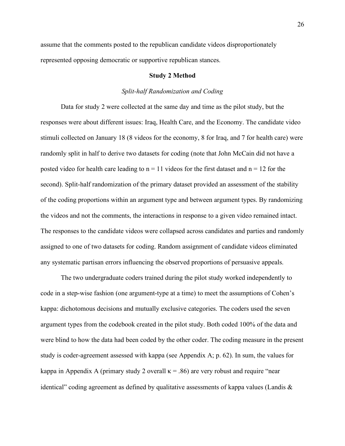assume that the comments posted to the republican candidate videos disproportionately represented opposing democratic or supportive republican stances.

#### **Study 2 Method**

#### *Split-half Randomization and Coding*

Data for study 2 were collected at the same day and time as the pilot study, but the responses were about different issues: Iraq, Health Care, and the Economy. The candidate video stimuli collected on January 18 (8 videos for the economy, 8 for Iraq, and 7 for health care) were randomly split in half to derive two datasets for coding (note that John McCain did not have a posted video for health care leading to  $n = 11$  videos for the first dataset and  $n = 12$  for the second). Split-half randomization of the primary dataset provided an assessment of the stability of the coding proportions within an argument type and between argument types. By randomizing the videos and not the comments, the interactions in response to a given video remained intact. The responses to the candidate videos were collapsed across candidates and parties and randomly assigned to one of two datasets for coding. Random assignment of candidate videos eliminated any systematic partisan errors influencing the observed proportions of persuasive appeals.

The two undergraduate coders trained during the pilot study worked independently to code in a step-wise fashion (one argument-type at a time) to meet the assumptions of Cohen's kappa: dichotomous decisions and mutually exclusive categories. The coders used the seven argument types from the codebook created in the pilot study. Both coded 100% of the data and were blind to how the data had been coded by the other coder. The coding measure in the present study is coder-agreement assessed with kappa (see Appendix A; p. 62). In sum, the values for kappa in Appendix A (primary study 2 overall  $\kappa$  = .86) are very robust and require "near identical" coding agreement as defined by qualitative assessments of kappa values (Landis &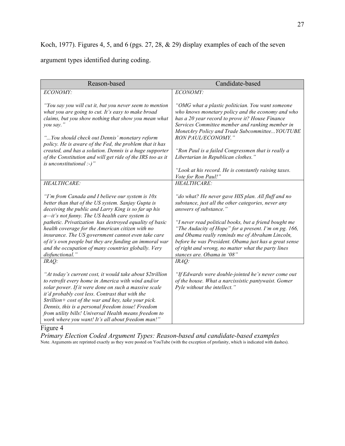# Koch, 1977). Figures 4, 5, and 6 (pgs. 27, 28, & 29) display examples of each of the seven

## argument types identified during coding.

| Reason-based                                                                                                                                                                                                                                                                                                                                                                                                                                                  | Candidate-based                                                                                                                                                                                                                                                                                                                                                                                                                          |
|---------------------------------------------------------------------------------------------------------------------------------------------------------------------------------------------------------------------------------------------------------------------------------------------------------------------------------------------------------------------------------------------------------------------------------------------------------------|------------------------------------------------------------------------------------------------------------------------------------------------------------------------------------------------------------------------------------------------------------------------------------------------------------------------------------------------------------------------------------------------------------------------------------------|
| ECONOMY:                                                                                                                                                                                                                                                                                                                                                                                                                                                      | ECONOMY:                                                                                                                                                                                                                                                                                                                                                                                                                                 |
| "You say you will cut it, but you never seem to mention<br>what you are going to cut. It's easy to make broad<br>claims, but you show nothing that show you mean what<br>you say."<br>"You should check out Dennis' monetary reform<br>policy. He is aware of the Fed, the problem that it has<br>created, and has a solution. Dennis is a huge supporter<br>of the Constitution and will get ride of the IRS too as it<br>is unconstitutional :-)"           | "OMG what a plastic politician. You want someone<br>who knows monetary policy and the economy and who<br>has a 20 year record to prove it? House Finance<br>Services Committee member and ranking member in<br>MonetAry Policy and Trade Subcommittee YOUTUBE<br>RON PAUL/ECONOMY."<br>"Ron Paul is a failed Congressmen that is really a<br>Libertarian in Republican clothes."<br>"Look at his record. He is constantly raising taxes. |
|                                                                                                                                                                                                                                                                                                                                                                                                                                                               | Vote for Ron Paul!"                                                                                                                                                                                                                                                                                                                                                                                                                      |
| HEALTHCARE:                                                                                                                                                                                                                                                                                                                                                                                                                                                   | <b>HEALTHCARE:</b>                                                                                                                                                                                                                                                                                                                                                                                                                       |
| "I'm from Canada and I believe our system is $10x$<br>better than that of the US system. Sanjay Gupta is<br>deceiving the public and Larry King is so far up his<br>a-it's not funny. The US health care system is<br>pathetic. Privatization has destroyed equality of basic<br>health coverage for the American citizen with no<br>insurance. The US government cannot even take care                                                                       | "do what? He never gave HIS plan. All fluff and no<br>substance, just all the other categories, never any<br>answers of substance."<br>"I never read political books, but a friend bought me<br>"The Audacity of Hope" for a present. I'm on pg. 166,<br>and Obama really reminds me of Abraham Lincoln,                                                                                                                                 |
| of it's own people but they are funding an immoral war<br>and the occupation of many countries globally. Very<br>disfunctional."                                                                                                                                                                                                                                                                                                                              | before he was President. Obama just has a great sense<br>of right and wrong, no matter what the party lines<br>stances are. Obama in '08"                                                                                                                                                                                                                                                                                                |
| $IRAQ$ :                                                                                                                                                                                                                                                                                                                                                                                                                                                      | IRAQ:                                                                                                                                                                                                                                                                                                                                                                                                                                    |
| "At today's current cost, it would take about \$2trillion<br>to retrofit every home in America with wind and/or<br>solar power. If it were done on such a massive scale<br>it'd probably cost less. Contrast that with the<br>$\delta$ trillion + cost of the war and hey, take your pick.<br>Dennis, this is a personal freedom issue! Freedom<br>from utility bills! Universal Health means freedom to<br>work where you want! It's all about freedom man!" | "If Edwards were double-jointed he's never come out<br>of the house. What a narcissistic pantywaist. Gomer<br>Pyle without the intellect."                                                                                                                                                                                                                                                                                               |

Figure 4

*Primary Election Coded Argument Types: Reason-based and candidate-based examples* Note. Arguments are reprinted exactly as they were posted on YouTube (with the exception of profanity, which is indicated with dashes).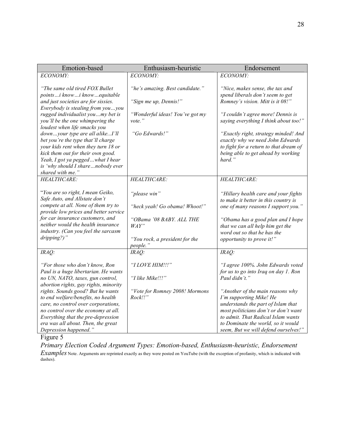| Emotion-based                                                                                                                                                                                                                                                                                                                                                                                                                                                                                        | Enthusiasm-heuristic                                                                                                                              | Endorsement                                                                                                                                                                                                                                                                                                                                                 |
|------------------------------------------------------------------------------------------------------------------------------------------------------------------------------------------------------------------------------------------------------------------------------------------------------------------------------------------------------------------------------------------------------------------------------------------------------------------------------------------------------|---------------------------------------------------------------------------------------------------------------------------------------------------|-------------------------------------------------------------------------------------------------------------------------------------------------------------------------------------------------------------------------------------------------------------------------------------------------------------------------------------------------------------|
| ECONOMY:                                                                                                                                                                                                                                                                                                                                                                                                                                                                                             | ECONOMY:                                                                                                                                          | ECONOMY:                                                                                                                                                                                                                                                                                                                                                    |
| "The same old tired FOX Bullet<br>pointsi knowi knowequitable<br>and just societies are for sissies.<br>Everybody is stealing from youyou<br>rugged individualist youmy bet is<br>you'll be the one whimpering the<br>loudest when life smacks you<br>downyour type are all alikeI'll<br>bet you're the type that'll charge<br>your kids rent when they turn 18 or<br>kick them out for their own good.<br>Yeah, I got ya peggedwhat I hear<br>is 'why should I sharenobody ever<br>shared with me." | "he's amazing. Best candidate."<br>"Sign me up, Dennis!"<br>"Wonderful ideas! You've got my<br>vote."<br>"Go Edwards!"                            | "Nice, makes sense, the tax and<br>spend liberals don't seem to get<br>Romney's vision. Mitt is it 08!"<br>"I couldn't agree more! Dennis is<br>saying everything I think about too!"<br>"Exactly right, strategy minded! And<br>exactly why we need John Edwards<br>to fight for a return to that dream of<br>being able to get ahead by working<br>hard." |
| HEALTHCARE:<br>"You are so right, I mean Geiko,<br>Safe Auto, and Allstate don't<br>compete at all. None of them try to<br>provide low prices and better service<br>for car insurance customers, and<br>neither would the health insurance<br>industry. (Can you feel the sarcasm<br>dripping?)"                                                                                                                                                                                                     | HEALTHCARE:<br>"please win"<br>"heck yeah! Go obama! Whoot!"<br>"OBama '08 BABY, ALL THE<br>$WAY$ "<br>"You rock, a president for the<br>people." | HEALTHCARE:<br>"Hillary health care and your fights<br>to make it better in this country is<br>one of many reasons I support you."<br>"Obama has a good plan and I hope<br>that we can all help him get the<br>word out so that he has the<br>opportunity to prove it!"                                                                                     |
| $IRAQ$ :                                                                                                                                                                                                                                                                                                                                                                                                                                                                                             | IRAQ:                                                                                                                                             | IRAQ:                                                                                                                                                                                                                                                                                                                                                       |
| "For those who don't know, Ron<br>Paul is a huge libertarian. He wants<br>no UN, NATO, taxes, gun control,<br>abortion rights, gay rights, minority                                                                                                                                                                                                                                                                                                                                                  | "I LOVE HIM !!!"<br>"I like Mike!!!"                                                                                                              | "I agree 100%. John Edwards voted<br>for us to go into Iraq on day 1. Ron<br>Paul didn't."                                                                                                                                                                                                                                                                  |
| rights. Sounds good? But he wants<br>to end welfare/benefits, no health<br>care, no control over corporations,<br>no control over the economy at all.<br>Everything that the pre-depression<br>era was all about. Then, the great<br>Depression happened."                                                                                                                                                                                                                                           | "Vote for Romney 2008! Mormons<br>Rock!!                                                                                                          | "Another of the main reasons why<br>I'm supporting Mike! He<br>understands the part of Islam that<br>most politicians don't or don't want<br>to admit. That Radical Islam wants<br>to Dominate the world, so it would<br>seem, But we will defend ourselves!"                                                                                               |

Figure 5

*Primary Election Coded Argument Types: Emotion-based, Enthusiasm-heuristic, Endorsement Examples* Note. Arguments are reprinted exactly as they were posted on YouTube (with the exception of profanity, which is indicated with dashes).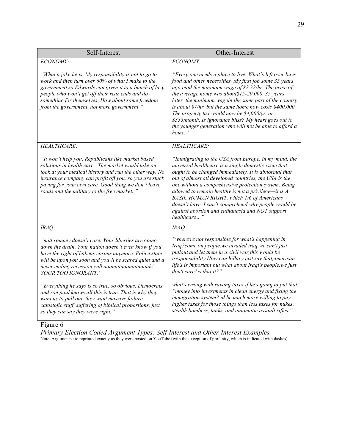| Self-Interest                                                                                                                                                                                                                                                                                                                    | Other-Interest                                                                                                                                                                                                                                                                                                                                                                                                                                                                                                                         |
|----------------------------------------------------------------------------------------------------------------------------------------------------------------------------------------------------------------------------------------------------------------------------------------------------------------------------------|----------------------------------------------------------------------------------------------------------------------------------------------------------------------------------------------------------------------------------------------------------------------------------------------------------------------------------------------------------------------------------------------------------------------------------------------------------------------------------------------------------------------------------------|
| ECONOMY:                                                                                                                                                                                                                                                                                                                         | ECONOMY:                                                                                                                                                                                                                                                                                                                                                                                                                                                                                                                               |
| "What a joke he is. My responsibility is not to go to<br>work and then turn over 60% of what I make to the<br>government so Edwards can given it to a bunch of lazy<br>people who won't get off their rear ends and do<br>something for themselves. How about some freedom<br>from the government, not more government."         | "Every one needs a place to live. What's left over buys<br>food and other necessities. My first job some 35 years<br>ago paid the minimum wage of \$2.32/hr. The price of<br>the average home was about \$15-20,000. 35 years<br>later, the minimum wagein the same part of the country<br>is about $$7/hr$ , but the same home now costs $$400,000$ .<br>The property tax would now be $$4,000/yr$ . or<br>\$333/month. Is ignorance bliss? My heart goes out to<br>the younger generation who will not be able to afford a<br>home." |
| HEALTHCARE:                                                                                                                                                                                                                                                                                                                      | HEALTHCARE:                                                                                                                                                                                                                                                                                                                                                                                                                                                                                                                            |
| "It won't help you. Republicans like market based<br>solutions in health care. The market would take on<br>look at your medical history and run the other way. No<br>insurance company can profit off you, so you are stuck<br>paying for your own care. Good thing we don't leave<br>roads and the military to the free market" | "Immigrating to the USA from Europe, in my mind, the<br>universal healthcare is a single domestic issue that<br>ought to be changed immediately. It is abnormal that<br>out of almost all developed countries, the USA is the<br>one without a comprehensive protection system. Being<br>allowed to remain healthy is not a privilege-it is $A$<br><b>BASIC HUMAN RIGHT</b> , which 1/6 of Americans<br>doesn't have. I can't comprehend why people would be<br>against abortion and euthanasia and NOT support<br>healthcare"         |
| $IRAQ$ :                                                                                                                                                                                                                                                                                                                         | $IRAQ$ :                                                                                                                                                                                                                                                                                                                                                                                                                                                                                                                               |
| "mitt romney doesn't care. Your liberties are going<br>down the drain. Your nation doesn't even know if you<br>have the right of habeas corpus anymore. Police state<br>will be upon you soon and you'll be scared quiet and a<br>never ending recession will aaaaaaaaaaaaaaaah!<br>YOUR TOO IGNORANT."                          | "where're not responsible for what's happening in<br>Iraq?come on people, we invaded iraq, we can't just<br>pullout and let them in a civil war, this would be<br>iresponsability. How can hillary just say that, american<br>life's is important but what about Iraqi's people, we just<br>don't care?is that it?"                                                                                                                                                                                                                    |
| "Everything he says is so true, so obvious. Democrats<br>and ron paul knows all this is true. That is why they<br>want us to pull out, they want massive failure,<br>catostofic stuff, suffering of biblical proportions, just<br>so they can say they were right."                                                              | what's wrong with raising taxes if he's going to put that<br>"money into investments in clean energy and fixing the<br>immigration system? id be much more willing to pay<br>higher taxes for those things than less taxes for nukes,<br>stealth bombers, tanks, and automatic assault rifles."                                                                                                                                                                                                                                        |

## Figure 6

*Primary Election Coded Argument Types: Self-Interest and Other-Interest Examples* Note*.* Arguments are reprinted exactly as they were posted on YouTube (with the exception of profanity, which is indicated with dashes).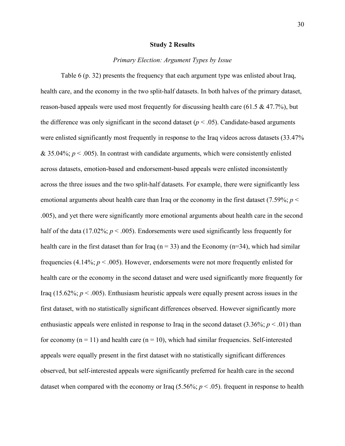#### **Study 2 Results**

#### *Primary Election: Argument Types by Issue*

Table 6 (p. 32) presents the frequency that each argument type was enlisted about Iraq, health care, and the economy in the two split-half datasets. In both halves of the primary dataset, reason-based appeals were used most frequently for discussing health care (61.5  $\&$  47.7%), but the difference was only significant in the second dataset ( $p < .05$ ). Candidate-based arguments were enlisted significantly most frequently in response to the Iraq videos across datasets (33.47%  $& 35.04\%$ ;  $p < .005$ ). In contrast with candidate arguments, which were consistently enlisted across datasets, emotion-based and endorsement-based appeals were enlisted inconsistently across the three issues and the two split-half datasets. For example, there were significantly less emotional arguments about health care than Iraq or the economy in the first dataset (7.59%; *p* < .005), and yet there were significantly more emotional arguments about health care in the second half of the data (17.02%;  $p < .005$ ). Endorsements were used significantly less frequently for health care in the first dataset than for Iraq ( $n = 33$ ) and the Economy ( $n = 34$ ), which had similar frequencies (4.14%; *p* < .005). However, endorsements were not more frequently enlisted for health care or the economy in the second dataset and were used significantly more frequently for Iraq  $(15.62\%; p < .005)$ . Enthusiasm heuristic appeals were equally present across issues in the first dataset, with no statistically significant differences observed. However significantly more enthusiastic appeals were enlisted in response to Iraq in the second dataset  $(3.36\%; p < .01)$  than for economy  $(n = 11)$  and health care  $(n = 10)$ , which had similar frequencies. Self-interested appeals were equally present in the first dataset with no statistically significant differences observed, but self-interested appeals were significantly preferred for health care in the second dataset when compared with the economy or Iraq  $(5.56\%; p < .05)$ . frequent in response to health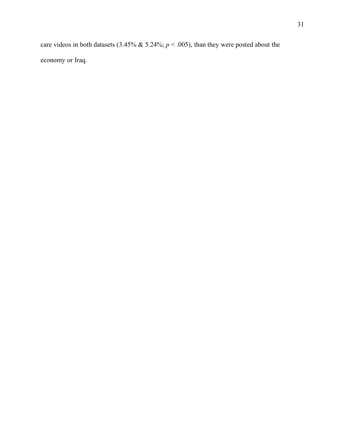care videos in both datasets (3.45% & 5.24%; *p* < .005), than they were posted about the economy or Iraq.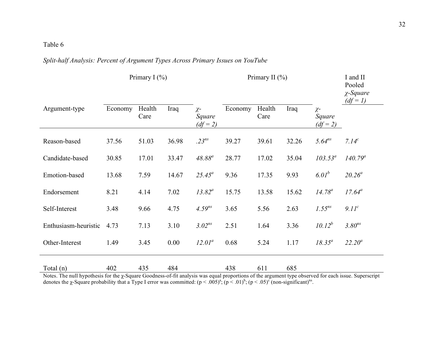Table 6

## *Split-half Analysis: Percent of Argument Types Across Primary Issues on YouTube*

|                      |         | Primary I $(\% )$ |       |                                  |         | Primary II $(\% )$ |       |                                  | I and II<br>Pooled<br>$\chi$ -Square<br>$(df=1)$ |
|----------------------|---------|-------------------|-------|----------------------------------|---------|--------------------|-------|----------------------------------|--------------------------------------------------|
| Argument-type        | Economy | Health<br>Care    | Iraq  | $\chi$ -<br>Square<br>$(df = 2)$ | Economy | Health<br>Care     | Iraq  | $\chi$ -<br>Square<br>$(df = 2)$ |                                                  |
| Reason-based         | 37.56   | 51.03             | 36.98 | $.23^{ns}$                       | 39.27   | 39.61              | 32.26 | $5.64^{ns}$                      | 7.14 <sup>c</sup>                                |
| Candidate-based      | 30.85   | 17.01             | 33.47 | $48.88^{a}$                      | 28.77   | 17.02              | 35.04 | $103.53^a$                       | $140.79^a$                                       |
| Emotion-based        | 13.68   | 7.59              | 14.67 | $25.45^a$                        | 9.36    | 17.35              | 9.93  | 6.01 <sup>b</sup>                | $20.26^a$                                        |
| Endorsement          | 8.21    | 4.14              | 7.02  | $13.82^a$                        | 15.75   | 13.58              | 15.62 | $14.78^a$                        | $17.64^a$                                        |
| Self-Interest        | 3.48    | 9.66              | 4.75  | $4.59^{ns}$                      | 3.65    | 5.56               | 2.63  | $1.55^{ns}$                      | 9.11 <sup>c</sup>                                |
| Enthusiasm-heuristic | 4.73    | 7.13              | 3.10  | $3.02^{ns}$                      | 2.51    | 1.64               | 3.36  | $10.12^{b}$                      | $3.80^{ns}$                                      |
| Other-Interest       | 1.49    | 3.45              | 0.00  | $12.01^a$                        | 0.68    | 5.24               | 1.17  | $18.35^a$                        | $22.20^a$                                        |
| Total (n)            | 402     | 435               | 484   |                                  | 438     | 611                | 685   |                                  |                                                  |

Notes. The null hypothesis for the χ-Square Goodness-of-fit analysis was equal proportions of the argument type observed for each issue. Superscript denotes the *χ*-Square probability that a Type I error was committed:  $(p < .005)^{a}$ ;  $(p < .01)^{b}$ ;  $(p < .05)^{c}$  (non-significant)<sup>ns</sup>.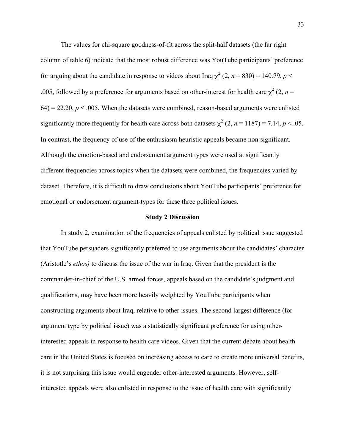The values for chi-square goodness-of-fit across the split-half datasets (the far right column of table 6) indicate that the most robust difference was YouTube participants' preference for arguing about the candidate in response to videos about Iraq  $\chi^2$  (2, *n* = 830) = 140.79, *p* < .005, followed by a preference for arguments based on other-interest for health care  $\chi^2$  (2, *n* =  $64$ ) = 22.20,  $p < .005$ . When the datasets were combined, reason-based arguments were enlisted significantly more frequently for health care across both datasets  $\chi^2$  (2, *n* = 1187) = 7.14, *p* < .05. In contrast, the frequency of use of the enthusiasm heuristic appeals became non-significant. Although the emotion-based and endorsement argument types were used at significantly different frequencies across topics when the datasets were combined, the frequencies varied by dataset. Therefore, it is difficult to draw conclusions about YouTube participants' preference for emotional or endorsement argument-types for these three political issues.

#### **Study 2 Discussion**

In study 2, examination of the frequencies of appeals enlisted by political issue suggested that YouTube persuaders significantly preferred to use arguments about the candidates' character (Aristotle's *ethos)* to discuss the issue of the war in Iraq. Given that the president is the commander-in-chief of the U.S. armed forces, appeals based on the candidate's judgment and qualifications, may have been more heavily weighted by YouTube participants when constructing arguments about Iraq, relative to other issues. The second largest difference (for argument type by political issue) was a statistically significant preference for using otherinterested appeals in response to health care videos. Given that the current debate about health care in the United States is focused on increasing access to care to create more universal benefits, it is not surprising this issue would engender other-interested arguments. However, selfinterested appeals were also enlisted in response to the issue of health care with significantly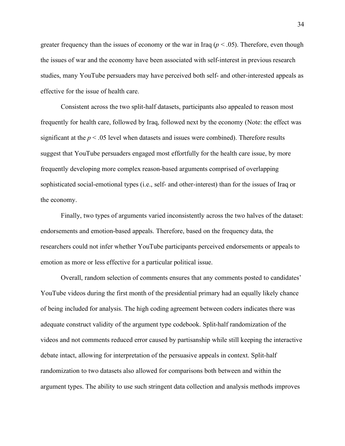greater frequency than the issues of economy or the war in Iraq  $(p < .05)$ . Therefore, even though the issues of war and the economy have been associated with self-interest in previous research studies, many YouTube persuaders may have perceived both self- and other-interested appeals as effective for the issue of health care.

Consistent across the two split-half datasets, participants also appealed to reason most frequently for health care, followed by Iraq, followed next by the economy (Note: the effect was significant at the  $p < 0.05$  level when datasets and issues were combined). Therefore results suggest that YouTube persuaders engaged most effortfully for the health care issue, by more frequently developing more complex reason-based arguments comprised of overlapping sophisticated social-emotional types (i.e., self- and other-interest) than for the issues of Iraq or the economy.

Finally, two types of arguments varied inconsistently across the two halves of the dataset: endorsements and emotion-based appeals. Therefore, based on the frequency data, the researchers could not infer whether YouTube participants perceived endorsements or appeals to emotion as more or less effective for a particular political issue.

Overall, random selection of comments ensures that any comments posted to candidates' YouTube videos during the first month of the presidential primary had an equally likely chance of being included for analysis. The high coding agreement between coders indicates there was adequate construct validity of the argument type codebook. Split-half randomization of the videos and not comments reduced error caused by partisanship while still keeping the interactive debate intact, allowing for interpretation of the persuasive appeals in context. Split-half randomization to two datasets also allowed for comparisons both between and within the argument types. The ability to use such stringent data collection and analysis methods improves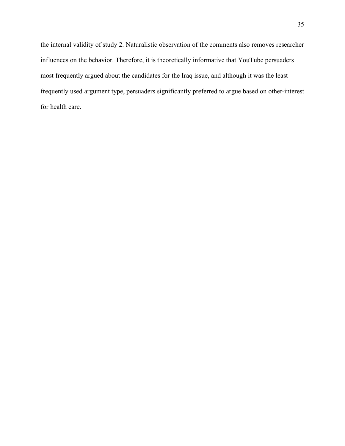the internal validity of study 2. Naturalistic observation of the comments also removes researcher influences on the behavior. Therefore, it is theoretically informative that YouTube persuaders most frequently argued about the candidates for the Iraq issue, and although it was the least frequently used argument type, persuaders significantly preferred to argue based on other-interest for health care.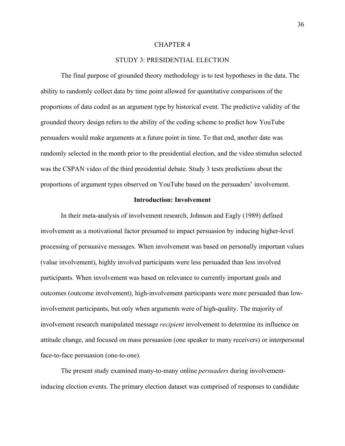#### CHAPTER 4

## STUDY 3: PRESIDENTIAL ELECTION

The final purpose of grounded theory methodology is to test hypotheses in the data. The ability to randomly collect data by time point allowed for quantitative comparisons of the proportions of data coded as an argument type by historical event. The predictive validity of the grounded theory design refers to the ability of the coding scheme to predict how YouTube persuaders would make arguments at a future point in time. To that end, another date was randomly selected in the month prior to the presidential election, and the video stimulus selected was the CSPAN video of the third presidential debate. Study 3 tests predictions about the proportions of argument types observed on YouTube based on the persuaders' involvement.

#### **Introduction: Involvement**

In their meta-analysis of involvement research, Johnson and Eagly (1989) defined involvement as a motivational factor presumed to impact persuasion by inducing higher-level processing of persuasive messages. When involvement was based on personally important values (value involvement), highly involved participants were less persuaded than less involved participants. When involvement was based on relevance to currently important goals and outcomes (outcome involvement), high-involvement participants were more persuaded than lowinvolvement participants, but only when arguments were of high-quality. The majority of involvement research manipulated message *recipient* involvement to determine its influence on attitude change, and focused on mass persuasion (one speaker to many receivers) or interpersonal face-to-face persuasion (one-to-one).

The present study examined many-to-many online *persuaders* during involvementinducing election events. The primary election dataset was comprised of responses to candidate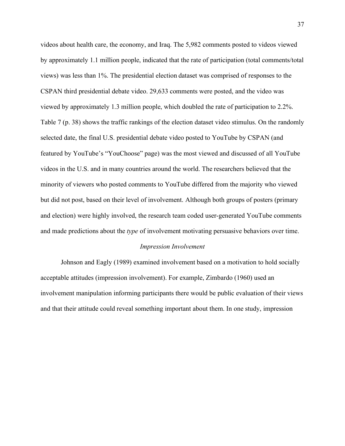videos about health care, the economy, and Iraq. The 5,982 comments posted to videos viewed by approximately 1.1 million people, indicated that the rate of participation (total comments/total views) was less than 1%. The presidential election dataset was comprised of responses to the CSPAN third presidential debate video. 29,633 comments were posted, and the video was viewed by approximately 1.3 million people, which doubled the rate of participation to 2.2%. Table 7 (p. 38) shows the traffic rankings of the election dataset video stimulus. On the randomly selected date, the final U.S. presidential debate video posted to YouTube by CSPAN (and featured by YouTube's "YouChoose" page) was the most viewed and discussed of all YouTube videos in the U.S. and in many countries around the world. The researchers believed that the minority of viewers who posted comments to YouTube differed from the majority who viewed but did not post, based on their level of involvement. Although both groups of posters (primary and election) were highly involved, the research team coded user-generated YouTube comments and made predictions about the *type* of involvement motivating persuasive behaviors over time.

#### *Impression Involvement*

Johnson and Eagly (1989) examined involvement based on a motivation to hold socially acceptable attitudes (impression involvement). For example, Zimbardo (1960) used an involvement manipulation informing participants there would be public evaluation of their views and that their attitude could reveal something important about them. In one study, impression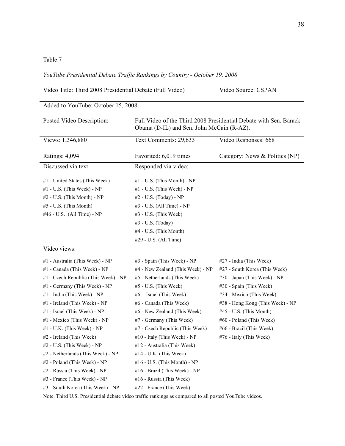## Table 7

*YouTube Presidential Debate Traffic Rankings by Country - October 19, 2008*

Video Title: Third 2008 Presidential Debate (Full Video) Video Source: CSPAN

| Posted Video Description:              | Full Video of the Third 2008 Presidential Debate with Sen. Barack<br>Obama (D-IL) and Sen. John McCain (R-AZ). |                                  |  |  |  |
|----------------------------------------|----------------------------------------------------------------------------------------------------------------|----------------------------------|--|--|--|
| Views: 1,346,880                       | Text Comments: 29,633                                                                                          | Video Responses: 668             |  |  |  |
| Ratings: 4,094                         | Favorited: 6,019 times                                                                                         | Category: News & Politics (NP)   |  |  |  |
| Discussed via text:                    | Responded via video:                                                                                           |                                  |  |  |  |
| #1 - United States (This Week)         | $#1$ - U.S. (This Month) - NP                                                                                  |                                  |  |  |  |
| $#1$ - U.S. (This Week) - NP           | #1 - U.S. (This Week) - NP                                                                                     |                                  |  |  |  |
| $#2$ - U.S. (This Month) - NP          | #2 - U.S. (Today) - NP                                                                                         |                                  |  |  |  |
| #5 - U.S. (This Month)                 | #3 - U.S. (All Time) - NP                                                                                      |                                  |  |  |  |
| #46 - U.S. (All Time) - NP             | $#3$ - U.S. (This Week)                                                                                        |                                  |  |  |  |
|                                        | #3 - U.S. (Today)                                                                                              |                                  |  |  |  |
|                                        | #4 - U.S. (This Month)                                                                                         |                                  |  |  |  |
|                                        | #29 - U.S. (All Time)                                                                                          |                                  |  |  |  |
| Video views:                           |                                                                                                                |                                  |  |  |  |
| #1 - Australia (This Week) - NP        | $#3$ - Spain (This Week) - NP                                                                                  | #27 - India (This Week)          |  |  |  |
| #1 - Canada (This Week) - NP           | #4 - New Zealand (This Week) - NP                                                                              | #27 - South Korea (This Week)    |  |  |  |
| $#1$ - Czech Republic (This Week) - NP | #5 - Netherlands (This Week)                                                                                   | #30 - Japan (This Week) - NP     |  |  |  |
| #1 - Germany (This Week) - NP          | #5 - U.S. (This Week)                                                                                          | #30 - Spain (This Week)          |  |  |  |
| #1 - India (This Week) - NP            | #6 - Israel (This Week)                                                                                        | #34 - Mexico (This Week)         |  |  |  |
| #1 - Ireland (This Week) - NP          | #6 - Canada (This Week)                                                                                        | #38 - Hong Kong (This Week) - NP |  |  |  |
| #1 - Israel (This Week) - NP           | #6 - New Zealand (This Week)                                                                                   | $#45$ - U.S. (This Month)        |  |  |  |
| #1 - Mexico (This Week) - NP           | #7 - Germany (This Week)                                                                                       | #60 - Poland (This Week)         |  |  |  |
| #1 - U.K. (This Week) - NP             | #7 - Czech Republic (This Week)                                                                                | #66 - Brazil (This Week)         |  |  |  |
| #2 - Ireland (This Week)               | #10 - Italy (This Week) - NP                                                                                   | #76 - Italy (This Week)          |  |  |  |
| $#2$ - U.S. (This Week) - NP           | #12 - Australia (This Week)                                                                                    |                                  |  |  |  |
| #2 - Netherlands (This Week) - NP      | $#14$ - U.K. (This Week)                                                                                       |                                  |  |  |  |
| #2 - Poland (This Week) - NP           | #16 - U.S. (This Month) - NP                                                                                   |                                  |  |  |  |
| #2 - Russia (This Week) - NP           | #16 - Brazil (This Week) - NP                                                                                  |                                  |  |  |  |
| #3 - France (This Week) - NP           | #16 - Russia (This Week)                                                                                       |                                  |  |  |  |
| #3 - South Korea (This Week) - NP      | #22 - France (This Week)                                                                                       |                                  |  |  |  |

Added to YouTube: October 15, 2008

Note. Third U.S. Presidential debate video traffic rankings as compared to all posted YouTube videos.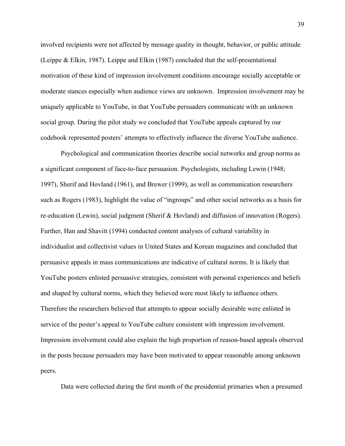involved recipients were not affected by message quality in thought, behavior, or public attitude (Leippe & Elkin, 1987). Leippe and Elkin (1987) concluded that the self-presentational motivation of these kind of impression involvement conditions encourage socially acceptable or moderate stances especially when audience views are unknown. Impression involvement may be uniquely applicable to YouTube, in that YouTube persuaders communicate with an unknown social group. During the pilot study we concluded that YouTube appeals captured by our codebook represented posters' attempts to effectively influence the diverse YouTube audience.

Psychological and communication theories describe social networks and group norms as a significant component of face-to-face persuasion. Psychologists, including Lewin (1948; 1997), Sherif and Hovland (1961), and Brewer (1999), as well as communication researchers such as Rogers (1983), highlight the value of "ingroups" and other social networks as a basis for re-education (Lewin), social judgment (Sherif & Hovland) and diffusion of innovation (Rogers). Further, Han and Shavitt (1994) conducted content analyses of cultural variability in individualist and collectivist values in United States and Korean magazines and concluded that persuasive appeals in mass communications are indicative of cultural norms. It is likely that YouTube posters enlisted persuasive strategies, consistent with personal experiences and beliefs and shaped by cultural norms, which they believed were most likely to influence others. Therefore the researchers believed that attempts to appear socially desirable were enlisted in service of the poster's appeal to YouTube culture consistent with impression involvement. Impression involvement could also explain the high proportion of reason-based appeals observed in the posts because persuaders may have been motivated to appear reasonable among unknown peers.

Data were collected during the first month of the presidential primaries when a presumed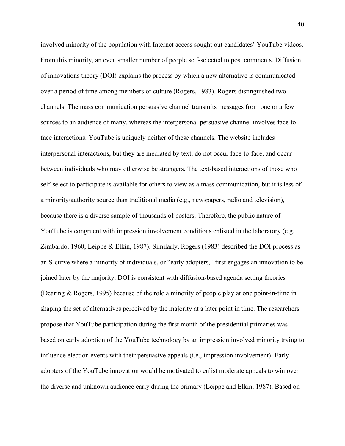involved minority of the population with Internet access sought out candidates' YouTube videos. From this minority, an even smaller number of people self-selected to post comments. Diffusion of innovations theory (DOI) explains the process by which a new alternative is communicated over a period of time among members of culture (Rogers, 1983). Rogers distinguished two channels. The mass communication persuasive channel transmits messages from one or a few sources to an audience of many, whereas the interpersonal persuasive channel involves face-toface interactions. YouTube is uniquely neither of these channels. The website includes interpersonal interactions, but they are mediated by text, do not occur face-to-face, and occur between individuals who may otherwise be strangers. The text-based interactions of those who self-select to participate is available for others to view as a mass communication, but it is less of a minority/authority source than traditional media (e.g., newspapers, radio and television), because there is a diverse sample of thousands of posters. Therefore, the public nature of YouTube is congruent with impression involvement conditions enlisted in the laboratory (e.g. Zimbardo, 1960; Leippe & Elkin, 1987). Similarly, Rogers (1983) described the DOI process as an S-curve where a minority of individuals, or "early adopters," first engages an innovation to be joined later by the majority. DOI is consistent with diffusion-based agenda setting theories (Dearing & Rogers, 1995) because of the role a minority of people play at one point-in-time in shaping the set of alternatives perceived by the majority at a later point in time. The researchers propose that YouTube participation during the first month of the presidential primaries was based on early adoption of the YouTube technology by an impression involved minority trying to influence election events with their persuasive appeals (i.e., impression involvement). Early adopters of the YouTube innovation would be motivated to enlist moderate appeals to win over the diverse and unknown audience early during the primary (Leippe and Elkin, 1987). Based on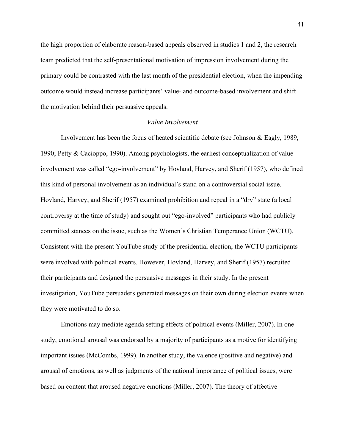the high proportion of elaborate reason-based appeals observed in studies 1 and 2, the research team predicted that the self-presentational motivation of impression involvement during the primary could be contrasted with the last month of the presidential election, when the impending outcome would instead increase participants' value- and outcome-based involvement and shift the motivation behind their persuasive appeals.

## *Value Involvement*

Involvement has been the focus of heated scientific debate (see Johnson & Eagly, 1989, 1990; Petty & Cacioppo, 1990). Among psychologists, the earliest conceptualization of value involvement was called "ego-involvement" by Hovland, Harvey, and Sherif (1957), who defined this kind of personal involvement as an individual's stand on a controversial social issue. Hovland, Harvey, and Sherif (1957) examined prohibition and repeal in a "dry" state (a local controversy at the time of study) and sought out "ego-involved" participants who had publicly committed stances on the issue, such as the Women's Christian Temperance Union (WCTU). Consistent with the present YouTube study of the presidential election, the WCTU participants were involved with political events. However, Hovland, Harvey, and Sherif (1957) recruited their participants and designed the persuasive messages in their study. In the present investigation, YouTube persuaders generated messages on their own during election events when they were motivated to do so.

Emotions may mediate agenda setting effects of political events (Miller, 2007). In one study, emotional arousal was endorsed by a majority of participants as a motive for identifying important issues (McCombs, 1999). In another study, the valence (positive and negative) and arousal of emotions, as well as judgments of the national importance of political issues, were based on content that aroused negative emotions (Miller, 2007). The theory of affective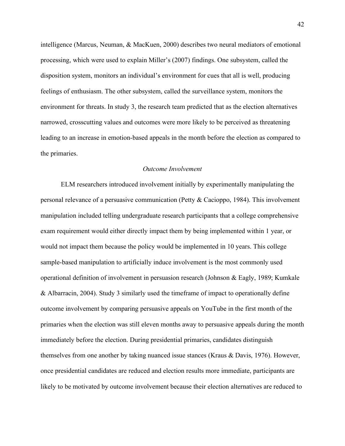intelligence (Marcus, Neuman, & MacKuen, 2000) describes two neural mediators of emotional processing, which were used to explain Miller's (2007) findings. One subsystem, called the disposition system, monitors an individual's environment for cues that all is well, producing feelings of enthusiasm. The other subsystem, called the surveillance system, monitors the environment for threats. In study 3, the research team predicted that as the election alternatives narrowed, crosscutting values and outcomes were more likely to be perceived as threatening leading to an increase in emotion-based appeals in the month before the election as compared to the primaries.

#### *Outcome Involvement*

ELM researchers introduced involvement initially by experimentally manipulating the personal relevance of a persuasive communication (Petty & Cacioppo, 1984). This involvement manipulation included telling undergraduate research participants that a college comprehensive exam requirement would either directly impact them by being implemented within 1 year, or would not impact them because the policy would be implemented in 10 years. This college sample-based manipulation to artificially induce involvement is the most commonly used operational definition of involvement in persuasion research (Johnson & Eagly, 1989; Kumkale & Albarracin, 2004). Study 3 similarly used the timeframe of impact to operationally define outcome involvement by comparing persuasive appeals on YouTube in the first month of the primaries when the election was still eleven months away to persuasive appeals during the month immediately before the election. During presidential primaries, candidates distinguish themselves from one another by taking nuanced issue stances (Kraus & Davis, 1976). However, once presidential candidates are reduced and election results more immediate, participants are likely to be motivated by outcome involvement because their election alternatives are reduced to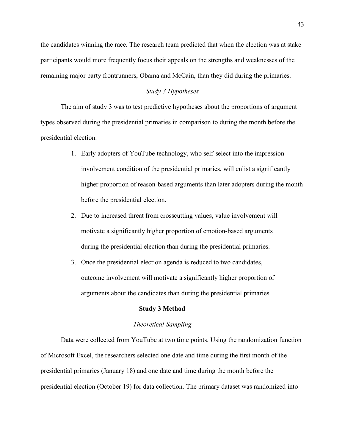the candidates winning the race. The research team predicted that when the election was at stake participants would more frequently focus their appeals on the strengths and weaknesses of the remaining major party frontrunners, Obama and McCain, than they did during the primaries.

### *Study 3 Hypotheses*

The aim of study 3 was to test predictive hypotheses about the proportions of argument types observed during the presidential primaries in comparison to during the month before the presidential election.

- 1. Early adopters of YouTube technology, who self-select into the impression involvement condition of the presidential primaries, will enlist a significantly higher proportion of reason-based arguments than later adopters during the month before the presidential election.
- 2. Due to increased threat from crosscutting values, value involvement will motivate a significantly higher proportion of emotion-based arguments during the presidential election than during the presidential primaries.
- 3. Once the presidential election agenda is reduced to two candidates, outcome involvement will motivate a significantly higher proportion of arguments about the candidates than during the presidential primaries.

#### **Study 3 Method**

#### *Theoretical Sampling*

Data were collected from YouTube at two time points. Using the randomization function of Microsoft Excel, the researchers selected one date and time during the first month of the presidential primaries (January 18) and one date and time during the month before the presidential election (October 19) for data collection. The primary dataset was randomized into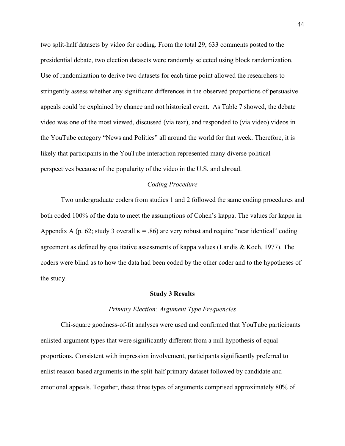two split-half datasets by video for coding. From the total 29, 633 comments posted to the presidential debate, two election datasets were randomly selected using block randomization. Use of randomization to derive two datasets for each time point allowed the researchers to stringently assess whether any significant differences in the observed proportions of persuasive appeals could be explained by chance and not historical event. As Table 7 showed, the debate video was one of the most viewed, discussed (via text), and responded to (via video) videos in the YouTube category "News and Politics" all around the world for that week. Therefore, it is likely that participants in the YouTube interaction represented many diverse political perspectives because of the popularity of the video in the U.S. and abroad.

#### *Coding Procedure*

Two undergraduate coders from studies 1 and 2 followed the same coding procedures and both coded 100% of the data to meet the assumptions of Cohen's kappa. The values for kappa in Appendix A (p. 62; study 3 overall  $\kappa$  = .86) are very robust and require "near identical" coding agreement as defined by qualitative assessments of kappa values (Landis & Koch, 1977). The coders were blind as to how the data had been coded by the other coder and to the hypotheses of the study.

#### **Study 3 Results**

#### *Primary Election: Argument Type Frequencies*

Chi-square goodness-of-fit analyses were used and confirmed that YouTube participants enlisted argument types that were significantly different from a null hypothesis of equal proportions. Consistent with impression involvement, participants significantly preferred to enlist reason-based arguments in the split-half primary dataset followed by candidate and emotional appeals. Together, these three types of arguments comprised approximately 80% of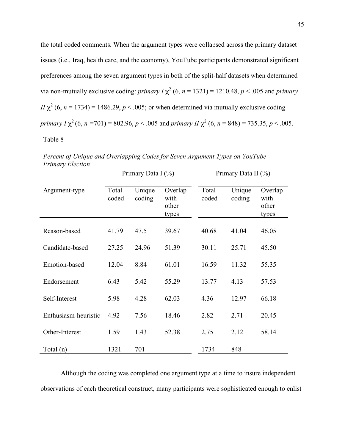the total coded comments. When the argument types were collapsed across the primary dataset issues (i.e., Iraq, health care, and the economy), YouTube participants demonstrated significant preferences among the seven argument types in both of the split-half datasets when determined via non-mutually exclusive coding: *primary I*  $\chi^2$  (6, *n* = 1321) = 1210.48, *p* < .005 and *primary*  $I\!I\!\chi^2$  (6, *n* = 1734) = 1486.29, *p* < .005; or when determined via mutually exclusive coding *primary I*  $\chi^2$  (6, *n* = 701) = 802.96, *p* < .005 and *primary II*  $\chi^2$  (6, *n* = 848) = 735.35, *p* < .005. Table 8

*Percent of Unique and Overlapping Codes for Seven Argument Types on YouTube – Primary Election*

Primary Data I (%) Primary Data II (%)

| Argument-type        | Total<br>coded | Unique<br>coding | Overlap<br>with<br>other<br>types | Total<br>coded | Unique<br>coding | Overlap<br>with<br>other<br>types |
|----------------------|----------------|------------------|-----------------------------------|----------------|------------------|-----------------------------------|
| Reason-based         | 41.79          | 47.5             | 39.67                             | 40.68          | 41.04            | 46.05                             |
| Candidate-based      | 27.25          | 24.96            | 51.39                             | 30.11          | 25.71            | 45.50                             |
| Emotion-based        | 12.04          | 8.84             | 61.01                             | 16.59          | 11.32            | 55.35                             |
| Endorsement          | 6.43           | 5.42             | 55.29                             | 13.77          | 4.13             | 57.53                             |
| Self-Interest        | 5.98           | 4.28             | 62.03                             | 4.36           | 12.97            | 66.18                             |
| Enthusiasm-heuristic | 4.92           | 7.56             | 18.46                             | 2.82           | 2.71             | 20.45                             |
| Other-Interest       | 1.59           | 1.43             | 52.38                             | 2.75           | 2.12             | 58.14                             |
| Total (n)            | 1321           | 701              |                                   | 1734           | 848              |                                   |

Although the coding was completed one argument type at a time to insure independent observations of each theoretical construct, many participants were sophisticated enough to enlist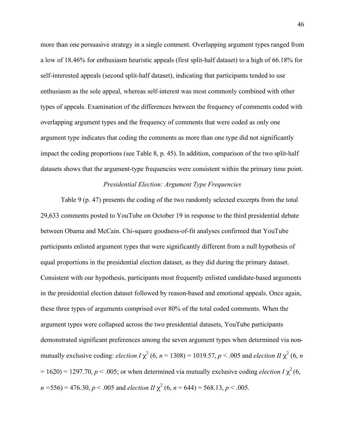more than one persuasive strategy in a single comment. Overlapping argument types ranged from a low of 18.46% for enthusiasm heuristic appeals (first split-half dataset) to a high of 66.18% for self-interested appeals (second split-half dataset), indicating that participants tended to use enthusiasm as the sole appeal, whereas self-interest was most commonly combined with other types of appeals. Examination of the differences between the frequency of comments coded with overlapping argument types and the frequency of comments that were coded as only one argument type indicates that coding the comments as more than one type did not significantly impact the coding proportions (see Table 8, p. 45). In addition, comparison of the two split-half datasets shows that the argument-type frequencies were consistent within the primary time point.

## *Presidential Election: Argument Type Frequencies*

Table 9 (p. 47) presents the coding of the two randomly selected excerpts from the total 29,633 comments posted to YouTube on October 19 in response to the third presidential debate between Obama and McCain. Chi-square goodness-of-fit analyses confirmed that YouTube participants enlisted argument types that were significantly different from a null hypothesis of equal proportions in the presidential election dataset, as they did during the primary dataset. Consistent with our hypothesis, participants most frequently enlisted candidate-based arguments in the presidential election dataset followed by reason-based and emotional appeals. Once again, these three types of arguments comprised over 80% of the total coded comments. When the argument types were collapsed across the two presidential datasets, YouTube participants demonstrated significant preferences among the seven argument types when determined via nonmutually exclusive coding: *election I*  $\chi^2$  (6, *n* = 1308) = 1019.57, *p* < .005 and *election II*  $\chi^2$  (6, *n*  $= 1620$ ) = 1297.70, *p* < .005; or when determined via mutually exclusive coding *election*  $I \chi^2$  (6,  $n = 556$ ) = 476.30,  $p < .005$  and *election II*  $\chi^2$  (6,  $n = 644$ ) = 568.13,  $p < .005$ .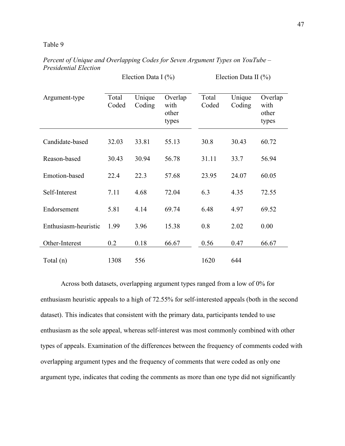#### Table 9

|                      | Election Data I $(\% )$ |                  |                                   |                | Election Data II $(\% )$ |                                   |  |
|----------------------|-------------------------|------------------|-----------------------------------|----------------|--------------------------|-----------------------------------|--|
| Argument-type        | Total<br>Coded          | Unique<br>Coding | Overlap<br>with<br>other<br>types | Total<br>Coded | Unique<br>Coding         | Overlap<br>with<br>other<br>types |  |
| Candidate-based      | 32.03                   | 33.81            | 55.13                             | 30.8           | 30.43                    | 60.72                             |  |
| Reason-based         | 30.43                   | 30.94            | 56.78                             | 31.11          | 33.7                     | 56.94                             |  |
| Emotion-based        | 22.4                    | 22.3             | 57.68                             | 23.95          | 24.07                    | 60.05                             |  |
| Self-Interest        | 7.11                    | 4.68             | 72.04                             | 6.3            | 4.35                     | 72.55                             |  |
| Endorsement          | 5.81                    | 4.14             | 69.74                             | 6.48           | 4.97                     | 69.52                             |  |
| Enthusiasm-heuristic | 1.99                    | 3.96             | 15.38                             | 0.8            | 2.02                     | 0.00                              |  |
| Other-Interest       | 0.2                     | 0.18             | 66.67                             | 0.56           | 0.47                     | 66.67                             |  |
| Total (n)            | 1308                    | 556              |                                   | 1620           | 644                      |                                   |  |

*Percent of Unique and Overlapping Codes for Seven Argument Types on YouTube – Presidential Election*

Across both datasets, overlapping argument types ranged from a low of 0% for enthusiasm heuristic appeals to a high of 72.55% for self-interested appeals (both in the second dataset). This indicates that consistent with the primary data, participants tended to use enthusiasm as the sole appeal, whereas self-interest was most commonly combined with other types of appeals. Examination of the differences between the frequency of comments coded with overlapping argument types and the frequency of comments that were coded as only one argument type, indicates that coding the comments as more than one type did not significantly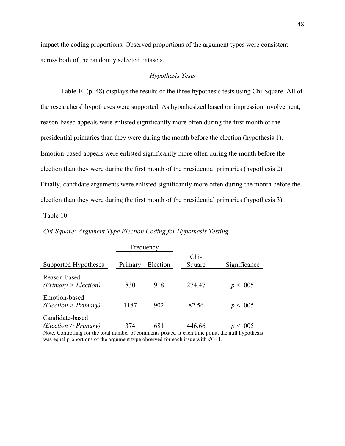impact the coding proportions. Observed proportions of the argument types were consistent across both of the randomly selected datasets.

#### *Hypothesis Tests*

Table 10 (p. 48) displays the results of the three hypothesis tests using Chi-Square. All of the researchers' hypotheses were supported. As hypothesized based on impression involvement, reason-based appeals were enlisted significantly more often during the first month of the presidential primaries than they were during the month before the election (hypothesis 1). Emotion-based appeals were enlisted significantly more often during the month before the election than they were during the first month of the presidential primaries (hypothesis 2). Finally, candidate arguments were enlisted significantly more often during the month before the election than they were during the first month of the presidential primaries (hypothesis 3).

Table 10

|                                                                                                                                                                                                                                    |         | Frequency |        |              |
|------------------------------------------------------------------------------------------------------------------------------------------------------------------------------------------------------------------------------------|---------|-----------|--------|--------------|
|                                                                                                                                                                                                                                    |         |           | Chi-   |              |
| Supported Hypotheses                                                                                                                                                                                                               | Primary | Election  | Square | Significance |
| Reason-based<br>(Primary > Electronic)                                                                                                                                                                                             | 830     | 918       | 274.47 | p < 0.05     |
| Emotion-based<br>(Election > Primary)                                                                                                                                                                                              | 1187    | 902       | 82.56  | p < 0.05     |
| Candidate-based<br>(Election > Primary)<br>Note. Controlling for the total number of comments posted at each time point, the null hypothesis<br>was equal proportions of the argument type observed for each issue with $df = 1$ . | 374     | 681       | 446.66 | p < 0.05     |

#### *Chi-Square: Argument Type Election Coding for Hypothesis Testing*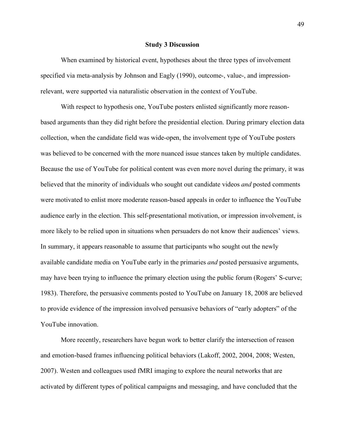#### **Study 3 Discussion**

When examined by historical event, hypotheses about the three types of involvement specified via meta-analysis by Johnson and Eagly (1990), outcome-, value-, and impressionrelevant, were supported via naturalistic observation in the context of YouTube.

With respect to hypothesis one, YouTube posters enlisted significantly more reasonbased arguments than they did right before the presidential election. During primary election data collection, when the candidate field was wide-open, the involvement type of YouTube posters was believed to be concerned with the more nuanced issue stances taken by multiple candidates. Because the use of YouTube for political content was even more novel during the primary, it was believed that the minority of individuals who sought out candidate videos *and* posted comments were motivated to enlist more moderate reason-based appeals in order to influence the YouTube audience early in the election. This self-presentational motivation, or impression involvement, is more likely to be relied upon in situations when persuaders do not know their audiences' views. In summary, it appears reasonable to assume that participants who sought out the newly available candidate media on YouTube early in the primaries *and* posted persuasive arguments, may have been trying to influence the primary election using the public forum (Rogers' S-curve; 1983). Therefore, the persuasive comments posted to YouTube on January 18, 2008 are believed to provide evidence of the impression involved persuasive behaviors of "early adopters" of the YouTube innovation.

More recently, researchers have begun work to better clarify the intersection of reason and emotion-based frames influencing political behaviors (Lakoff, 2002, 2004, 2008; Westen, 2007). Westen and colleagues used fMRI imaging to explore the neural networks that are activated by different types of political campaigns and messaging, and have concluded that the

49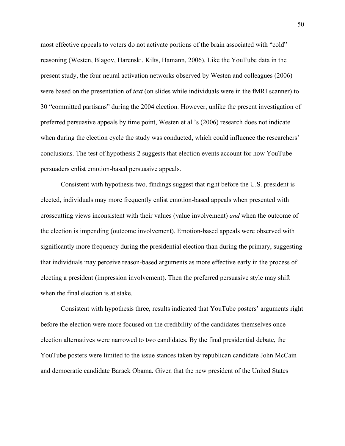most effective appeals to voters do not activate portions of the brain associated with "cold" reasoning (Westen, Blagov, Harenski, Kilts, Hamann, 2006). Like the YouTube data in the present study, the four neural activation networks observed by Westen and colleagues (2006) were based on the presentation of *text* (on slides while individuals were in the fMRI scanner) to 30 "committed partisans" during the 2004 election. However, unlike the present investigation of preferred persuasive appeals by time point, Westen et al.'s (2006) research does not indicate when during the election cycle the study was conducted, which could influence the researchers' conclusions. The test of hypothesis 2 suggests that election events account for how YouTube persuaders enlist emotion-based persuasive appeals.

Consistent with hypothesis two, findings suggest that right before the U.S. president is elected, individuals may more frequently enlist emotion-based appeals when presented with crosscutting views inconsistent with their values (value involvement) *and* when the outcome of the election is impending (outcome involvement). Emotion-based appeals were observed with significantly more frequency during the presidential election than during the primary, suggesting that individuals may perceive reason-based arguments as more effective early in the process of electing a president (impression involvement). Then the preferred persuasive style may shift when the final election is at stake.

Consistent with hypothesis three, results indicated that YouTube posters' arguments right before the election were more focused on the credibility of the candidates themselves once election alternatives were narrowed to two candidates. By the final presidential debate, the YouTube posters were limited to the issue stances taken by republican candidate John McCain and democratic candidate Barack Obama. Given that the new president of the United States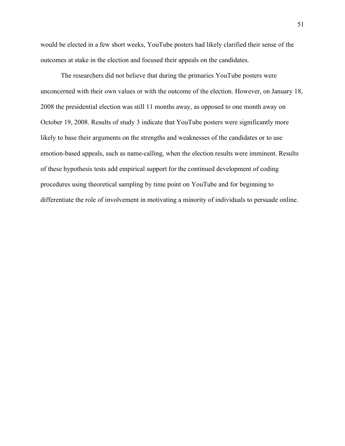would be elected in a few short weeks, YouTube posters had likely clarified their sense of the outcomes at stake in the election and focused their appeals on the candidates.

The researchers did not believe that during the primaries YouTube posters were unconcerned with their own values or with the outcome of the election. However, on January 18, 2008 the presidential election was still 11 months away, as opposed to one month away on October 19, 2008. Results of study 3 indicate that YouTube posters were significantly more likely to base their arguments on the strengths and weaknesses of the candidates or to use emotion-based appeals, such as name-calling, when the election results were imminent. Results of these hypothesis tests add empirical support for the continued development of coding procedures using theoretical sampling by time point on YouTube and for beginning to differentiate the role of involvement in motivating a minority of individuals to persuade online.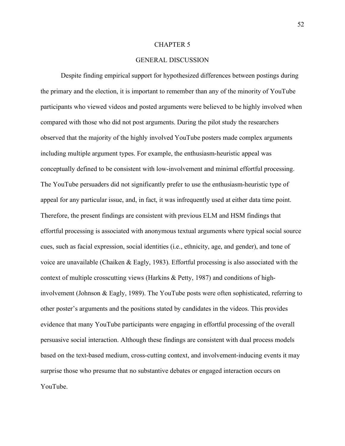#### CHAPTER 5

## GENERAL DISCUSSION

Despite finding empirical support for hypothesized differences between postings during the primary and the election, it is important to remember than any of the minority of YouTube participants who viewed videos and posted arguments were believed to be highly involved when compared with those who did not post arguments. During the pilot study the researchers observed that the majority of the highly involved YouTube posters made complex arguments including multiple argument types. For example, the enthusiasm-heuristic appeal was conceptually defined to be consistent with low-involvement and minimal effortful processing. The YouTube persuaders did not significantly prefer to use the enthusiasm-heuristic type of appeal for any particular issue, and, in fact, it was infrequently used at either data time point. Therefore, the present findings are consistent with previous ELM and HSM findings that effortful processing is associated with anonymous textual arguments where typical social source cues, such as facial expression, social identities (i.e., ethnicity, age, and gender), and tone of voice are unavailable (Chaiken & Eagly, 1983). Effortful processing is also associated with the context of multiple crosscutting views (Harkins & Petty, 1987) and conditions of highinvolvement (Johnson & Eagly, 1989). The YouTube posts were often sophisticated, referring to other poster's arguments and the positions stated by candidates in the videos. This provides evidence that many YouTube participants were engaging in effortful processing of the overall persuasive social interaction. Although these findings are consistent with dual process models based on the text-based medium, cross-cutting context, and involvement-inducing events it may surprise those who presume that no substantive debates or engaged interaction occurs on YouTube.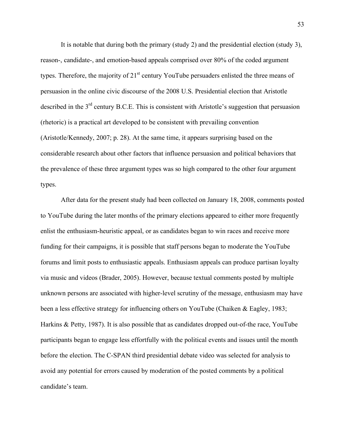It is notable that during both the primary (study 2) and the presidential election (study 3), reason-, candidate-, and emotion-based appeals comprised over 80% of the coded argument types. Therefore, the majority of  $21<sup>st</sup>$  century YouTube persuaders enlisted the three means of persuasion in the online civic discourse of the 2008 U.S. Presidential election that Aristotle described in the  $3<sup>rd</sup>$  century B.C.E. This is consistent with Aristotle's suggestion that persuasion (rhetoric) is a practical art developed to be consistent with prevailing convention (Aristotle/Kennedy, 2007; p. 28). At the same time, it appears surprising based on the considerable research about other factors that influence persuasion and political behaviors that the prevalence of these three argument types was so high compared to the other four argument types.

After data for the present study had been collected on January 18, 2008, comments posted to YouTube during the later months of the primary elections appeared to either more frequently enlist the enthusiasm-heuristic appeal, or as candidates began to win races and receive more funding for their campaigns, it is possible that staff persons began to moderate the YouTube forums and limit posts to enthusiastic appeals. Enthusiasm appeals can produce partisan loyalty via music and videos (Brader, 2005). However, because textual comments posted by multiple unknown persons are associated with higher-level scrutiny of the message, enthusiasm may have been a less effective strategy for influencing others on YouTube (Chaiken & Eagley, 1983; Harkins & Petty, 1987). It is also possible that as candidates dropped out-of-the race, YouTube participants began to engage less effortfully with the political events and issues until the month before the election. The C-SPAN third presidential debate video was selected for analysis to avoid any potential for errors caused by moderation of the posted comments by a political candidate's team.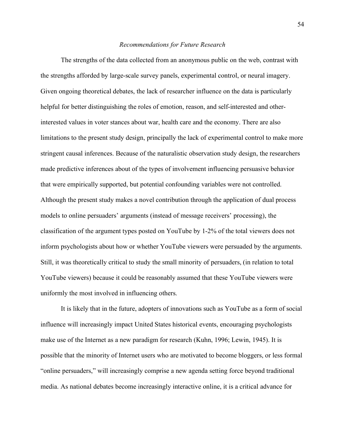#### *Recommendations for Future Research*

The strengths of the data collected from an anonymous public on the web, contrast with the strengths afforded by large-scale survey panels, experimental control, or neural imagery. Given ongoing theoretical debates, the lack of researcher influence on the data is particularly helpful for better distinguishing the roles of emotion, reason, and self-interested and otherinterested values in voter stances about war, health care and the economy. There are also limitations to the present study design, principally the lack of experimental control to make more stringent causal inferences. Because of the naturalistic observation study design, the researchers made predictive inferences about of the types of involvement influencing persuasive behavior that were empirically supported, but potential confounding variables were not controlled. Although the present study makes a novel contribution through the application of dual process models to online persuaders' arguments (instead of message receivers' processing), the classification of the argument types posted on YouTube by 1-2% of the total viewers does not inform psychologists about how or whether YouTube viewers were persuaded by the arguments. Still, it was theoretically critical to study the small minority of persuaders, (in relation to total YouTube viewers) because it could be reasonably assumed that these YouTube viewers were uniformly the most involved in influencing others.

It is likely that in the future, adopters of innovations such as YouTube as a form of social influence will increasingly impact United States historical events, encouraging psychologists make use of the Internet as a new paradigm for research (Kuhn, 1996; Lewin, 1945). It is possible that the minority of Internet users who are motivated to become bloggers, or less formal "online persuaders," will increasingly comprise a new agenda setting force beyond traditional media. As national debates become increasingly interactive online, it is a critical advance for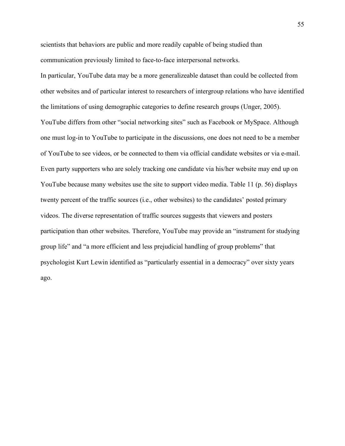scientists that behaviors are public and more readily capable of being studied than communication previously limited to face-to-face interpersonal networks.

In particular, YouTube data may be a more generalizeable dataset than could be collected from other websites and of particular interest to researchers of intergroup relations who have identified the limitations of using demographic categories to define research groups (Unger, 2005). YouTube differs from other "social networking sites" such as Facebook or MySpace. Although one must log-in to YouTube to participate in the discussions, one does not need to be a member of YouTube to see videos, or be connected to them via official candidate websites or via e-mail. Even party supporters who are solely tracking one candidate via his/her website may end up on YouTube because many websites use the site to support video media. Table 11 (p. 56) displays twenty percent of the traffic sources (i.e., other websites) to the candidates' posted primary videos. The diverse representation of traffic sources suggests that viewers and posters participation than other websites. Therefore, YouTube may provide an "instrument for studying group life" and "a more efficient and less prejudicial handling of group problems" that psychologist Kurt Lewin identified as "particularly essential in a democracy" over sixty years ago.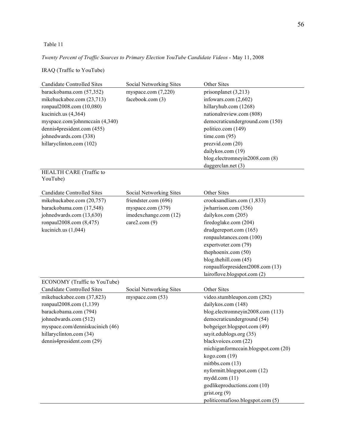## Table 11

*Twenty Percent of Traffic Sources to Primary Election YouTube Candidate Videos* - May 11, 2008

## IRAQ (Traffic to YouTube)

| <b>Candidate Controlled Sites</b>                                 | Social Networking Sites | Other Sites                         |
|-------------------------------------------------------------------|-------------------------|-------------------------------------|
| barackobama.com (57,352)                                          | myspace.com (7,220)     | prisonplanet $(3,213)$              |
| mikehuckabee.com (23,713)                                         | facebook.com (3)        | infowars.com $(2,602)$              |
| ronpaul2008.com (10,080)                                          |                         | hillaryhub.com (1268)               |
| kucinich.us (4,364)                                               |                         | nationalreview.com (808)            |
| myspace.com/johnmccain (4,340)                                    |                         | democraticunderground.com (150)     |
| dennis4president.com (455)                                        |                         | politico.com (149)                  |
| johnedwards.com (338)                                             |                         | time.com $(95)$                     |
| hillaryclinton.com (102)                                          |                         | prezvid.com (20)                    |
|                                                                   |                         | dailykos.com (19)                   |
|                                                                   |                         | blog.electromneyin2008.com (8)      |
|                                                                   |                         | daggerclan.net (3)                  |
| HEALTH CARE (Traffic to<br>YouTube)                               |                         |                                     |
| Candidate Controlled Sites                                        | Social Networking Sites | Other Sites                         |
| mikehuckabee.com (20,757)                                         | friendster.com (696)    | crooksandliars.com (1,833)          |
| barackobama.com (17,548)                                          | myspace.com (379)       | jwharrison.com (356)                |
| johnedwards.com (13,630)                                          | imedexchange.com (12)   | dailykos.com (205)                  |
| ronpaul2008.com (8,475)                                           | care2.com $(9)$         | firedoglake.com (204)               |
| kucinich.us $(1,044)$                                             |                         | drudgereport.com (165)              |
|                                                                   |                         | ronpaulstances.com (100)            |
|                                                                   |                         | expertvoter.com (79)                |
|                                                                   |                         | thephoenix.com (50)                 |
|                                                                   |                         | blog.thehill.com (45)               |
|                                                                   |                         | ronpaulforpresident2008.com (13)    |
|                                                                   |                         | lairoflove.blogspot.com (2)         |
| ECONOMY (Traffic to YouTube)<br><b>Candidate Controlled Sites</b> | Social Networking Sites | Other Sites                         |
| mikehuckabee.com (37,823)                                         | myspace.com (53)        | video.stumbleupon.com (282)         |
| ronpaul2008.com (1,139)                                           |                         | dailykos.com (148)                  |
| barackobama.com (794)                                             |                         | blog.electromneyin2008.com (113)    |
| johnedwards.com (512)                                             |                         | democraticunderground (54)          |
| myspace.com/denniskucinich (46)                                   |                         | bobgeiger.blogspot.com (49)         |
| hillaryclinton.com (34)                                           |                         | sayit.edublogs.org (35)             |
| dennis4president.com (29)                                         |                         | blackvoices.com (22)                |
|                                                                   |                         | michiganformccain.blogspot.com (20) |
|                                                                   |                         | kogo.com(19)                        |
|                                                                   |                         | mitbbs.com $(13)$                   |
|                                                                   |                         | nyformitt.blogspot.com (12)         |
|                                                                   |                         | mydd.com(11)                        |
|                                                                   |                         | godlikeproductions.com (10)         |
|                                                                   |                         | grist.org $(9)$                     |
|                                                                   |                         | politicomafioso.blogspot.com (5)    |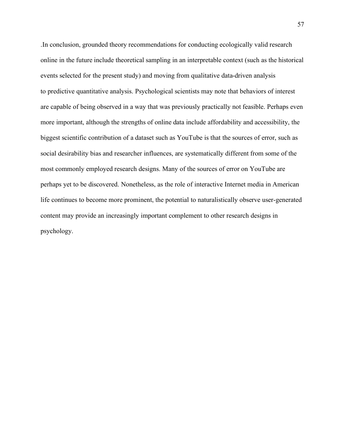.In conclusion, grounded theory recommendations for conducting ecologically valid research online in the future include theoretical sampling in an interpretable context (such as the historical events selected for the present study) and moving from qualitative data-driven analysis to predictive quantitative analysis. Psychological scientists may note that behaviors of interest are capable of being observed in a way that was previously practically not feasible. Perhaps even more important, although the strengths of online data include affordability and accessibility, the biggest scientific contribution of a dataset such as YouTube is that the sources of error, such as social desirability bias and researcher influences, are systematically different from some of the most commonly employed research designs. Many of the sources of error on YouTube are perhaps yet to be discovered. Nonetheless, as the role of interactive Internet media in American life continues to become more prominent, the potential to naturalistically observe user-generated content may provide an increasingly important complement to other research designs in psychology.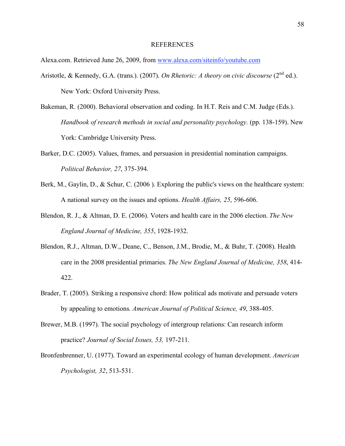#### REFERENCES

Alexa.com. Retrieved June 26, 2009, from www.alexa.com/siteinfo/youtube.com

- Aristotle, & Kennedy, G.A. (trans.). (2007). *On Rhetoric: A theory on civic discourse* (2<sup>nd</sup> ed.). New York: Oxford University Press.
- Bakeman, R. (2000). Behavioral observation and coding. In H.T. Reis and C.M. Judge (Eds.). *Handbook of research methods in social and personality psychology.* (pp. 138-159). New York: Cambridge University Press.
- Barker, D.C. (2005). Values, frames, and persuasion in presidential nomination campaigns. *Political Behavior, 27*, 375-394.
- Berk, M., Gaylin, D., & Schur, C. (2006). Exploring the public's views on the healthcare system: A national survey on the issues and options. *Health Affairs, 25*, 596-606.
- Blendon, R. J., & Altman, D. E. (2006). Voters and health care in the 2006 election. *The New England Journal of Medicine, 355*, 1928-1932.
- Blendon, R.J., Altman, D.W., Deane, C., Benson, J.M., Brodie, M., & Buhr, T. (2008). Health care in the 2008 presidential primaries. *The New England Journal of Medicine, 358*, 414- 422.
- Brader, T. (2005). Striking a responsive chord: How political ads motivate and persuade voters by appealing to emotions. *American Journal of Political Science, 49*, 388-405.
- Brewer, M.B. (1997). The social psychology of intergroup relations: Can research inform practice? *Journal of Social Issues, 53,* 197-211.
- Bronfenbrenner, U. (1977). Toward an experimental ecology of human development. *American Psychologist, 32*, 513-531.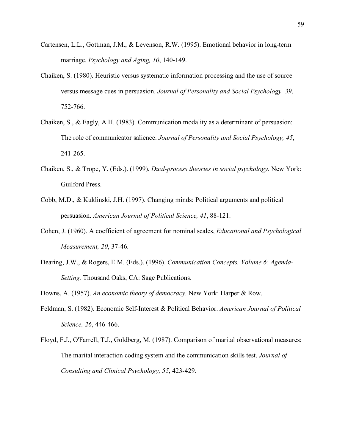- Cartensen, L.L., Gottman, J.M., & Levenson, R.W. (1995). Emotional behavior in long-term marriage. *Psychology and Aging, 10*, 140-149.
- Chaiken, S. (1980). Heuristic versus systematic information processing and the use of source versus message cues in persuasion. *Journal of Personality and Social Psychology, 39*, 752-766.
- Chaiken, S., & Eagly, A.H. (1983). Communication modality as a determinant of persuasion: The role of communicator salience. *Journal of Personality and Social Psychology, 45*, 241-265.
- Chaiken, S., & Trope, Y. (Eds.). (1999). *Dual-process theories in social psychology.* New York: Guilford Press.
- Cobb, M.D., & Kuklinski, J.H. (1997). Changing minds: Political arguments and political persuasion. *American Journal of Political Science, 41*, 88-121.
- Cohen, J. (1960). A coefficient of agreement for nominal scales, *Educational and Psychological Measurement, 20*, 37-46.
- Dearing, J.W., & Rogers, E.M. (Eds.). (1996). *Communication Concepts, Volume 6: Agenda-Setting.* Thousand Oaks, CA: Sage Publications.
- Downs, A. (1957). *An economic theory of democracy.* New York: Harper & Row.
- Feldman, S. (1982). Economic Self-Interest & Political Behavior. *American Journal of Political Science, 26*, 446-466.
- Floyd, F.J., O'Farrell, T.J., Goldberg, M. (1987). Comparison of marital observational measures: The marital interaction coding system and the communication skills test. *Journal of Consulting and Clinical Psychology, 55*, 423-429.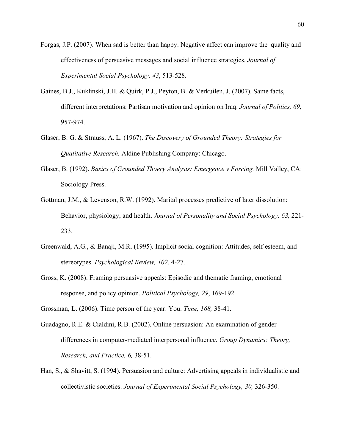- Forgas, J.P. (2007). When sad is better than happy: Negative affect can improve the quality and effectiveness of persuasive messages and social influence strategies. *Journal of Experimental Social Psychology, 43*, 513-528.
- Gaines, B.J., Kuklinski, J.H. & Quirk, P.J., Peyton, B. & Verkuilen, J. (2007). Same facts, different interpretations: Partisan motivation and opinion on Iraq. *Journal of Politics, 69,*  957-974.
- Glaser, B. G. & Strauss, A. L. (1967). *The Discovery of Grounded Theory: Strategies for Qualitative Research.* Aldine Publishing Company: Chicago.
- Glaser, B. (1992). *Basics of Grounded Thoery Analysis: Emergence v Forcing.* Mill Valley, CA: Sociology Press.
- Gottman, J.M., & Levenson, R.W. (1992). Marital processes predictive of later dissolution: Behavior, physiology, and health. *Journal of Personality and Social Psychology, 63,* 221- 233.
- Greenwald, A.G., & Banaji, M.R. (1995). Implicit social cognition: Attitudes, self-esteem, and stereotypes. *Psychological Review, 102*, 4-27.
- Gross, K. (2008). Framing persuasive appeals: Episodic and thematic framing, emotional response, and policy opinion. *Political Psychology, 29*, 169-192.
- Grossman, L. (2006). Time person of the year: You. *Time, 168,* 38-41.
- Guadagno, R.E. & Cialdini, R.B. (2002). Online persuasion: An examination of gender differences in computer-mediated interpersonal influence. *Group Dynamics: Theory, Research, and Practice, 6,* 38-51.
- Han, S., & Shavitt, S. (1994). Persuasion and culture: Advertising appeals in individualistic and collectivistic societies. *Journal of Experimental Social Psychology, 30,* 326-350.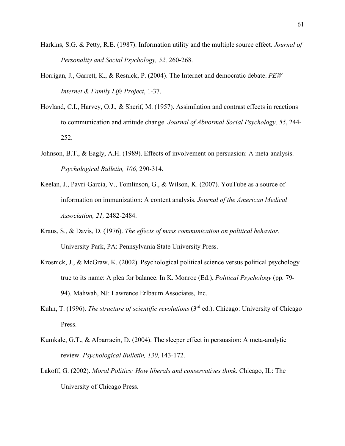- Harkins, S.G. & Petty, R.E. (1987). Information utility and the multiple source effect. *Journal of Personality and Social Psychology, 52,* 260-268.
- Horrigan, J., Garrett, K., & Resnick, P. (2004). The Internet and democratic debate. *PEW Internet & Family Life Project*, 1-37.
- Hovland, C.I., Harvey, O.J., & Sherif, M. (1957). Assimilation and contrast effects in reactions to communication and attitude change. *Journal of Abnormal Social Psychology, 55*, 244- 252.
- Johnson, B.T., & Eagly, A.H. (1989). Effects of involvement on persuasion: A meta-analysis. *Psychological Bulletin, 106,* 290-314.
- Keelan, J., Pavri-Garcia, V., Tomlinson, G., & Wilson, K. (2007). YouTube as a source of information on immunization: A content analysis. *Journal of the American Medical Association, 21,* 2482-2484.
- Kraus, S., & Davis, D. (1976). *The effects of mass communication on political behavior.* University Park, PA: Pennsylvania State University Press.
- Krosnick, J., & McGraw, K. (2002). Psychological political science versus political psychology true to its name: A plea for balance. In K. Monroe (Ed.), *Political Psychology* (pp. 79- 94). Mahwah, NJ: Lawrence Erlbaum Associates, Inc.
- Kuhn, T. (1996). *The structure of scientific revolutions* (3<sup>rd</sup> ed.). Chicago: University of Chicago Press.
- Kumkale, G.T., & Albarracin, D. (2004). The sleeper effect in persuasion: A meta-analytic review. *Psychological Bulletin, 130*, 143-172.
- Lakoff, G. (2002). *Moral Politics: How liberals and conservatives think.* Chicago, IL: The University of Chicago Press.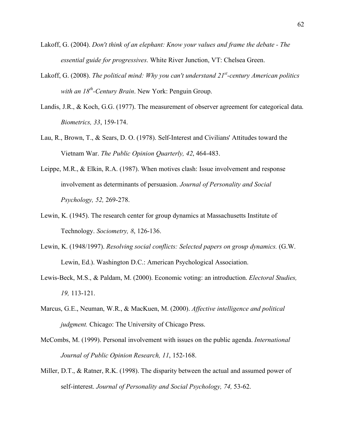- Lakoff, G. (2004). *Don't think of an elephant: Know your values and frame the debate The essential guide for progressives*. White River Junction, VT: Chelsea Green.
- Lakoff, G. (2008). *The political mind: Why you can't understand 21<sup>st</sup>-century American politics with an 18th-Century Brain*. New York: Penguin Group.
- Landis, J.R., & Koch, G.G. (1977). The measurement of observer agreement for categorical data. *Biometrics, 33*, 159-174.
- Lau, R., Brown, T., & Sears, D. O. (1978). Self-Interest and Civilians' Attitudes toward the Vietnam War. *The Public Opinion Quarterly, 42*, 464-483.
- Leippe, M.R., & Elkin, R.A. (1987). When motives clash: Issue involvement and response involvement as determinants of persuasion. *Journal of Personality and Social Psychology, 52,* 269-278.
- Lewin, K. (1945). The research center for group dynamics at Massachusetts Institute of Technology. *Sociometry, 8*, 126-136.
- Lewin, K. (1948/1997). *Resolving social conflicts: Selected papers on group dynamics.* (G.W. Lewin, Ed.). Washington D.C.: American Psychological Association.
- Lewis-Beck, M.S., & Paldam, M. (2000). Economic voting: an introduction. *Electoral Studies, 19,* 113-121.
- Marcus, G.E., Neuman, W.R., & MacKuen, M. (2000). *Affective intelligence and political judgment.* Chicago: The University of Chicago Press.
- McCombs, M. (1999). Personal involvement with issues on the public agenda. *International Journal of Public Opinion Research, 11*, 152-168.
- Miller, D.T., & Ratner, R.K. (1998). The disparity between the actual and assumed power of self-interest. *Journal of Personality and Social Psychology, 74,* 53-62.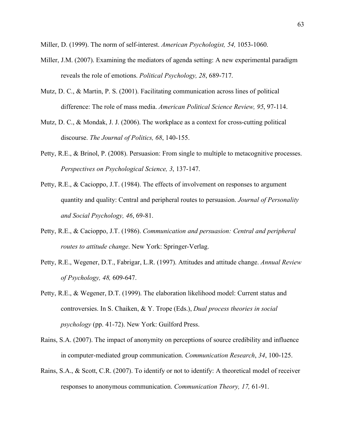Miller, D. (1999). The norm of self-interest. *American Psychologist, 54,* 1053-1060.

- Miller, J.M. (2007). Examining the mediators of agenda setting: A new experimental paradigm reveals the role of emotions. *Political Psychology, 28*, 689-717.
- Mutz, D. C., & Martin, P. S. (2001). Facilitating communication across lines of political difference: The role of mass media. *American Political Science Review, 95*, 97-114.
- Mutz, D. C., & Mondak, J. J. (2006). The workplace as a context for cross-cutting political discourse. *The Journal of Politics, 68*, 140-155.
- Petty, R.E., & Brinol, P. (2008). Persuasion: From single to multiple to metacognitive processes. *Perspectives on Psychological Science, 3*, 137-147.
- Petty, R.E., & Cacioppo, J.T. (1984). The effects of involvement on responses to argument quantity and quality: Central and peripheral routes to persuasion. *Journal of Personality and Social Psychology, 46*, 69-81.
- Petty, R.E., & Cacioppo, J.T. (1986). *Communication and persuasion: Central and peripheral routes to attitude change*. New York: Springer-Verlag.
- Petty, R.E., Wegener, D.T., Fabrigar, L.R. (1997). Attitudes and attitude change. *Annual Review of Psychology, 48,* 609-647.
- Petty, R.E., & Wegener, D.T. (1999). The elaboration likelihood model: Current status and controversies. In S. Chaiken, & Y. Trope (Eds.), *Dual process theories in social psychology* (pp. 41-72). New York: Guilford Press.
- Rains, S.A. (2007). The impact of anonymity on perceptions of source credibility and influence in computer-mediated group communication. *Communication Research*, *34*, 100-125.
- Rains, S.A., & Scott, C.R. (2007). To identify or not to identify: A theoretical model of receiver responses to anonymous communication. *Communication Theory, 17,* 61-91.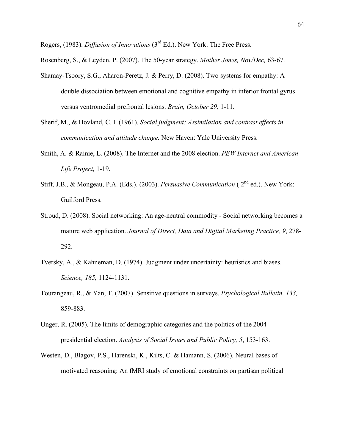Rogers, (1983). *Diffusion of Innovations* (3rd Ed.). New York: The Free Press.

Rosenberg, S., & Leyden, P. (2007). The 50-year strategy. *Mother Jones, Nov/Dec,* 63-67.

- Shamay-Tsoory, S.G., Aharon-Peretz, J. & Perry, D. (2008). Two systems for empathy: A double dissociation between emotional and cognitive empathy in inferior frontal gyrus versus ventromedial prefrontal lesions. *Brain, October 29*, 1-11.
- Sherif, M., & Hovland, C. I. (1961). *Social judgment: Assimilation and contrast effects in communication and attitude change.* New Haven: Yale University Press.
- Smith, A. & Rainie, L. (2008). The Internet and the 2008 election. *PEW Internet and American Life Project,* 1-19.
- Stiff, J.B., & Mongeau, P.A. (Eds.). (2003). *Persuasive Communication* ( 2nd ed.). New York: Guilford Press.
- Stroud, D. (2008). Social networking: An age-neutral commodity Social networking becomes a mature web application. *Journal of Direct, Data and Digital Marketing Practice, 9*, 278- 292.
- Tversky, A., & Kahneman, D. (1974). Judgment under uncertainty: heuristics and biases. *Science, 185,* 1124-1131.
- Tourangeau, R., & Yan, T. (2007). Sensitive questions in surveys. *Psychological Bulletin, 133,* 859-883.
- Unger, R. (2005). The limits of demographic categories and the politics of the 2004 presidential election. *Analysis of Social Issues and Public Policy, 5*, 153-163.
- Westen, D., Blagov, P.S., Harenski, K., Kilts, C. & Hamann, S. (2006). Neural bases of motivated reasoning: An fMRI study of emotional constraints on partisan political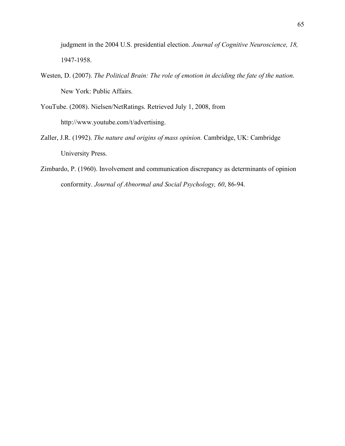judgment in the 2004 U.S. presidential election. *Journal of Cognitive Neuroscience, 18,*  1947-1958.

- Westen, D. (2007). *The Political Brain: The role of emotion in deciding the fate of the nation*. New York: Public Affairs.
- YouTube. (2008). Nielsen/NetRatings. Retrieved July 1, 2008, from http://www.youtube.com/t/advertising.
- Zaller, J.R. (1992). *The nature and origins of mass opinion.* Cambridge, UK: Cambridge University Press.
- Zimbardo, P. (1960). Involvement and communication discrepancy as determinants of opinion conformity. *Journal of Abnormal and Social Psychology, 60*, 86-94.